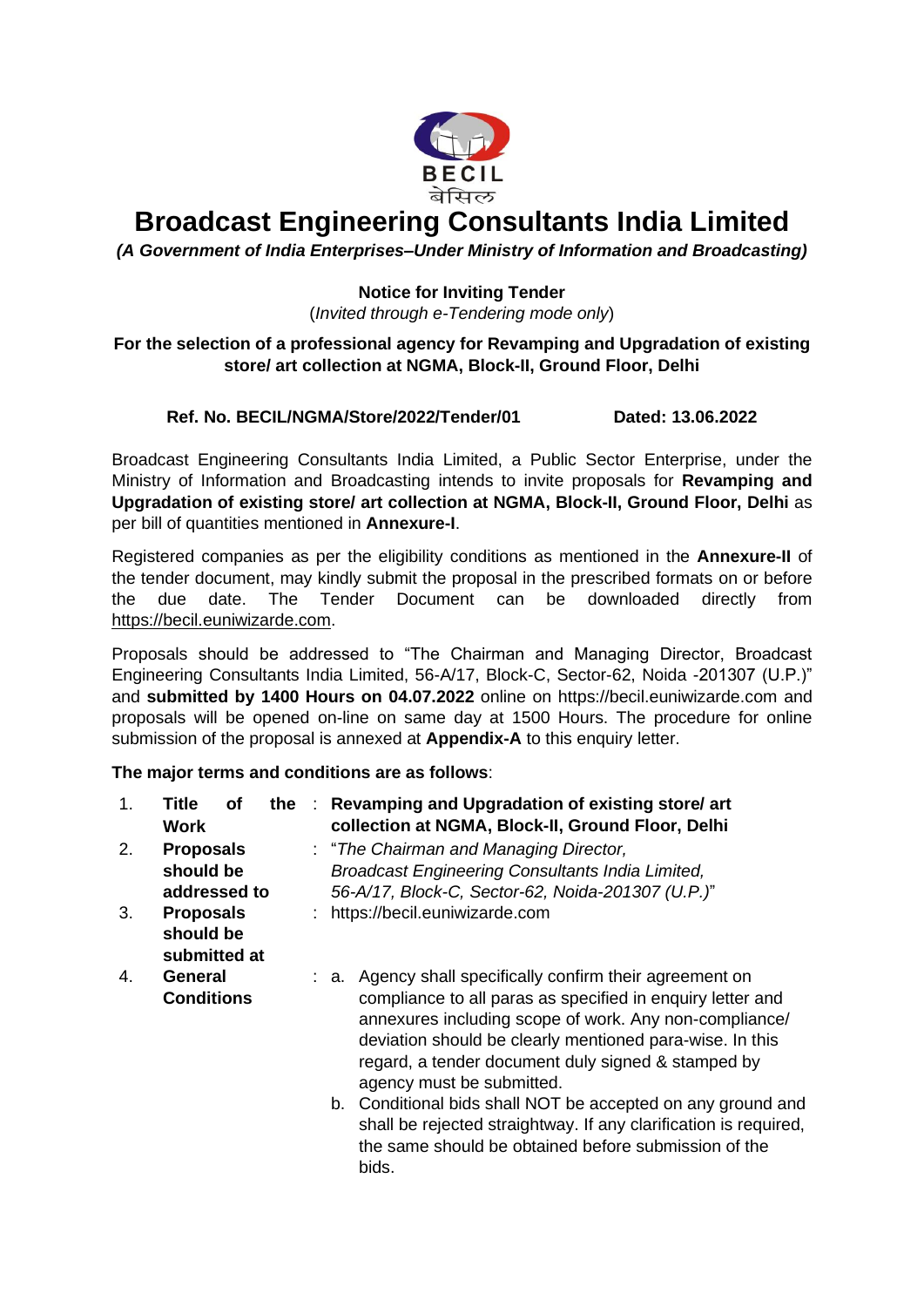

# **Broadcast Engineering Consultants India Limited**

*(A Government of India Enterprises–Under Ministry of Information and Broadcasting)*

### <span id="page-0-0"></span>**Notice for Inviting Tender**

(*Invited through e-Tendering mode only*)

#### **For the selection of a professional agency for Revamping and Upgradation of existing store/ art collection at NGMA, Block-II, Ground Floor, Delhi**

### **Ref. No. BECIL/NGMA/Store/2022/Tender/01 Dated: 13.06.2022**

Broadcast Engineering Consultants India Limited, a Public Sector Enterprise, under the Ministry of Information and Broadcasting intends to invite proposals for **[Revamping and](#page-0-0)  [Upgradation of existing store/ art collection at NGMA,](#page-0-0) Block-II, Ground Floor, Delhi** as per bill of quantities mentioned in **Annexure-I**.

Registered companies as per the eligibility conditions as mentioned in the **Annexure-II** of the tender document, may kindly submit the proposal in the prescribed formats on or before the due date. The Tender Document can be downloaded directly from [https://becil.euniwizarde.com.](https://becil.euniwizarde.com/)

<span id="page-0-1"></span>Proposals should be addressed to "The Chairman and Managing Director, Broadcast Engineering Consultants India Limited, 56-A/17, Block-C, Sector-62, Noida -201307 (U.P.)" and **submitted by 1400 Hours on 04.07.2022** online on [https://becil.euniwizarde.com](#page-0-1) and proposals will be opened on-line on same day at 1500 Hours. The procedure for online submission of the proposal is annexed at **Appendix-A** to this enquiry letter.

### **The major terms and conditions are as follows**:

| 1. | Title<br>оf<br><b>Work</b>                    |  | the : Revamping and Upgradation of existing store/ art<br>collection at NGMA, Block-II, Ground Floor, Delhi                                                                                                                                                                                                                                                                                                                                                                                                                          |
|----|-----------------------------------------------|--|--------------------------------------------------------------------------------------------------------------------------------------------------------------------------------------------------------------------------------------------------------------------------------------------------------------------------------------------------------------------------------------------------------------------------------------------------------------------------------------------------------------------------------------|
| 2. | <b>Proposals</b><br>should be<br>addressed to |  | : "The Chairman and Managing Director,<br>Broadcast Engineering Consultants India Limited,<br>56-A/17, Block-C, Sector-62, Noida-201307 (U.P.)"                                                                                                                                                                                                                                                                                                                                                                                      |
| 3. | <b>Proposals</b><br>should be<br>submitted at |  | : https://becil.euniwizarde.com                                                                                                                                                                                                                                                                                                                                                                                                                                                                                                      |
| 4. | General<br><b>Conditions</b>                  |  | : a. Agency shall specifically confirm their agreement on<br>compliance to all paras as specified in enquiry letter and<br>annexures including scope of work. Any non-compliance/<br>deviation should be clearly mentioned para-wise. In this<br>regard, a tender document duly signed & stamped by<br>agency must be submitted.<br>b. Conditional bids shall NOT be accepted on any ground and<br>shall be rejected straightway. If any clarification is required,<br>the same should be obtained before submission of the<br>bids. |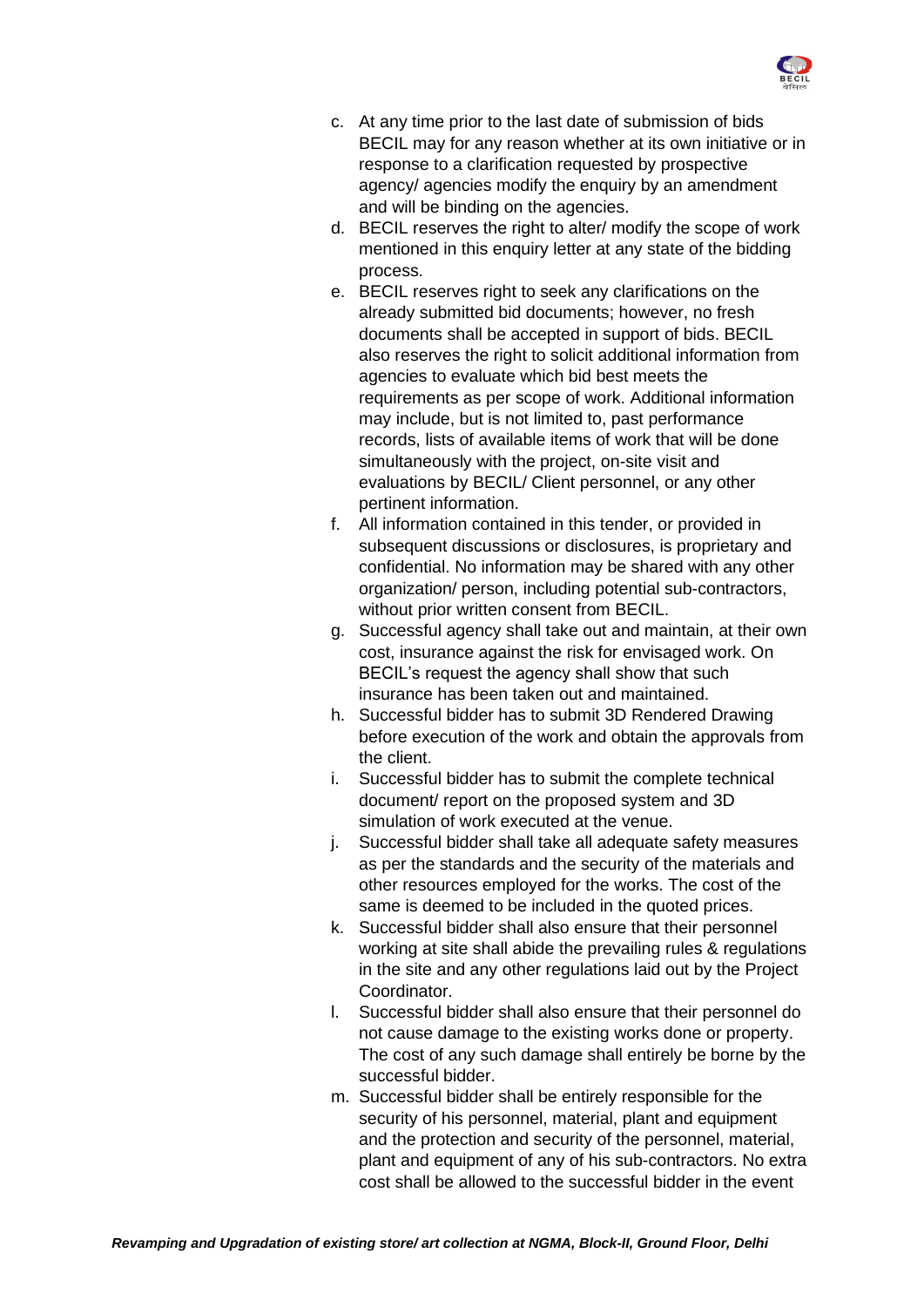

- c. At any time prior to the last date of submission of bids BECIL may for any reason whether at its own initiative or in response to a clarification requested by prospective agency/ agencies modify the enquiry by an amendment and will be binding on the agencies.
- d. BECIL reserves the right to alter/ modify the scope of work mentioned in this enquiry letter at any state of the bidding process.
- e. BECIL reserves right to seek any clarifications on the already submitted bid documents; however, no fresh documents shall be accepted in support of bids. BECIL also reserves the right to solicit additional information from agencies to evaluate which bid best meets the requirements as per scope of work. Additional information may include, but is not limited to, past performance records, lists of available items of work that will be done simultaneously with the project, on-site visit and evaluations by BECIL/ Client personnel, or any other pertinent information.
- f. All information contained in this tender, or provided in subsequent discussions or disclosures, is proprietary and confidential. No information may be shared with any other organization/ person, including potential sub-contractors, without prior written consent from BECIL.
- g. Successful agency shall take out and maintain, at their own cost, insurance against the risk for envisaged work. On BECIL's request the agency shall show that such insurance has been taken out and maintained.
- h. Successful bidder has to submit 3D Rendered Drawing before execution of the work and obtain the approvals from the client.
- i. Successful bidder has to submit the complete technical document/ report on the proposed system and 3D simulation of work executed at the venue.
- j. Successful bidder shall take all adequate safety measures as per the standards and the security of the materials and other resources employed for the works. The cost of the same is deemed to be included in the quoted prices.
- k. Successful bidder shall also ensure that their personnel working at site shall abide the prevailing rules & regulations in the site and any other regulations laid out by the Project Coordinator.
- l. Successful bidder shall also ensure that their personnel do not cause damage to the existing works done or property. The cost of any such damage shall entirely be borne by the successful bidder.
- m. Successful bidder shall be entirely responsible for the security of his personnel, material, plant and equipment and the protection and security of the personnel, material, plant and equipment of any of his sub-contractors. No extra cost shall be allowed to the successful bidder in the event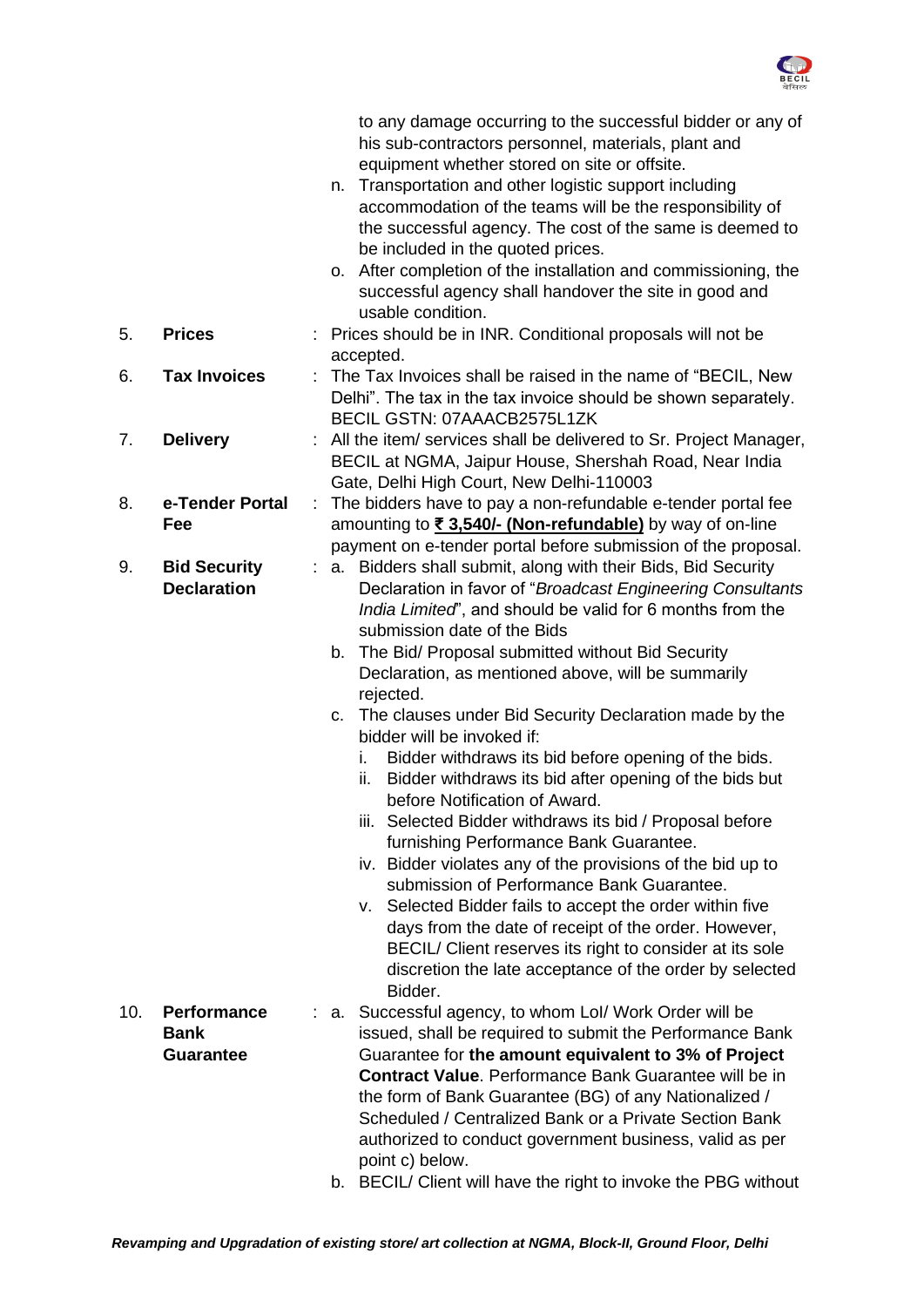

|     |                                                       |   | to any damage occurring to the successful bidder or any of<br>his sub-contractors personnel, materials, plant and<br>equipment whether stored on site or offsite.<br>Transportation and other logistic support including<br>n.<br>accommodation of the teams will be the responsibility of<br>the successful agency. The cost of the same is deemed to<br>be included in the quoted prices.<br>o. After completion of the installation and commissioning, the<br>successful agency shall handover the site in good and<br>usable condition.                                                                                                                                                                                                                                                                                                                                                                                                                                                                                                                                          |
|-----|-------------------------------------------------------|---|--------------------------------------------------------------------------------------------------------------------------------------------------------------------------------------------------------------------------------------------------------------------------------------------------------------------------------------------------------------------------------------------------------------------------------------------------------------------------------------------------------------------------------------------------------------------------------------------------------------------------------------------------------------------------------------------------------------------------------------------------------------------------------------------------------------------------------------------------------------------------------------------------------------------------------------------------------------------------------------------------------------------------------------------------------------------------------------|
| 5.  | <b>Prices</b>                                         |   | : Prices should be in INR. Conditional proposals will not be<br>accepted.                                                                                                                                                                                                                                                                                                                                                                                                                                                                                                                                                                                                                                                                                                                                                                                                                                                                                                                                                                                                            |
| 6.  | <b>Tax Invoices</b>                                   |   | The Tax Invoices shall be raised in the name of "BECIL, New<br>Delhi". The tax in the tax invoice should be shown separately.<br>BECIL GSTN: 07AAACB2575L1ZK                                                                                                                                                                                                                                                                                                                                                                                                                                                                                                                                                                                                                                                                                                                                                                                                                                                                                                                         |
| 7.  | <b>Delivery</b>                                       |   | : All the item/ services shall be delivered to Sr. Project Manager,<br>BECIL at NGMA, Jaipur House, Shershah Road, Near India<br>Gate, Delhi High Court, New Delhi-110003                                                                                                                                                                                                                                                                                                                                                                                                                                                                                                                                                                                                                                                                                                                                                                                                                                                                                                            |
| 8.  | e-Tender Portal<br>Fee                                | ÷ | The bidders have to pay a non-refundable e-tender portal fee<br>amounting to ₹3,540/- (Non-refundable) by way of on-line<br>payment on e-tender portal before submission of the proposal.                                                                                                                                                                                                                                                                                                                                                                                                                                                                                                                                                                                                                                                                                                                                                                                                                                                                                            |
| 9.  | <b>Bid Security</b><br><b>Declaration</b>             |   | : a. Bidders shall submit, along with their Bids, Bid Security<br>Declaration in favor of "Broadcast Engineering Consultants<br>India Limited", and should be valid for 6 months from the<br>submission date of the Bids<br>b. The Bid/ Proposal submitted without Bid Security<br>Declaration, as mentioned above, will be summarily<br>rejected.<br>c. The clauses under Bid Security Declaration made by the<br>bidder will be invoked if:<br>Bidder withdraws its bid before opening of the bids.<br>i.<br>Bidder withdraws its bid after opening of the bids but<br>ii.<br>before Notification of Award.<br>iii. Selected Bidder withdraws its bid / Proposal before<br>furnishing Performance Bank Guarantee.<br>iv. Bidder violates any of the provisions of the bid up to<br>submission of Performance Bank Guarantee.<br>v. Selected Bidder fails to accept the order within five<br>days from the date of receipt of the order. However,<br>BECIL/ Client reserves its right to consider at its sole<br>discretion the late acceptance of the order by selected<br>Bidder. |
| 10. | <b>Performance</b><br><b>Bank</b><br><b>Guarantee</b> |   | : a. Successful agency, to whom Lol/ Work Order will be<br>issued, shall be required to submit the Performance Bank<br>Guarantee for the amount equivalent to 3% of Project<br>Contract Value. Performance Bank Guarantee will be in<br>the form of Bank Guarantee (BG) of any Nationalized /<br>Scheduled / Centralized Bank or a Private Section Bank<br>authorized to conduct government business, valid as per<br>point c) below.                                                                                                                                                                                                                                                                                                                                                                                                                                                                                                                                                                                                                                                |
|     |                                                       |   | b. BECIL/ Client will have the right to invoke the PBG without                                                                                                                                                                                                                                                                                                                                                                                                                                                                                                                                                                                                                                                                                                                                                                                                                                                                                                                                                                                                                       |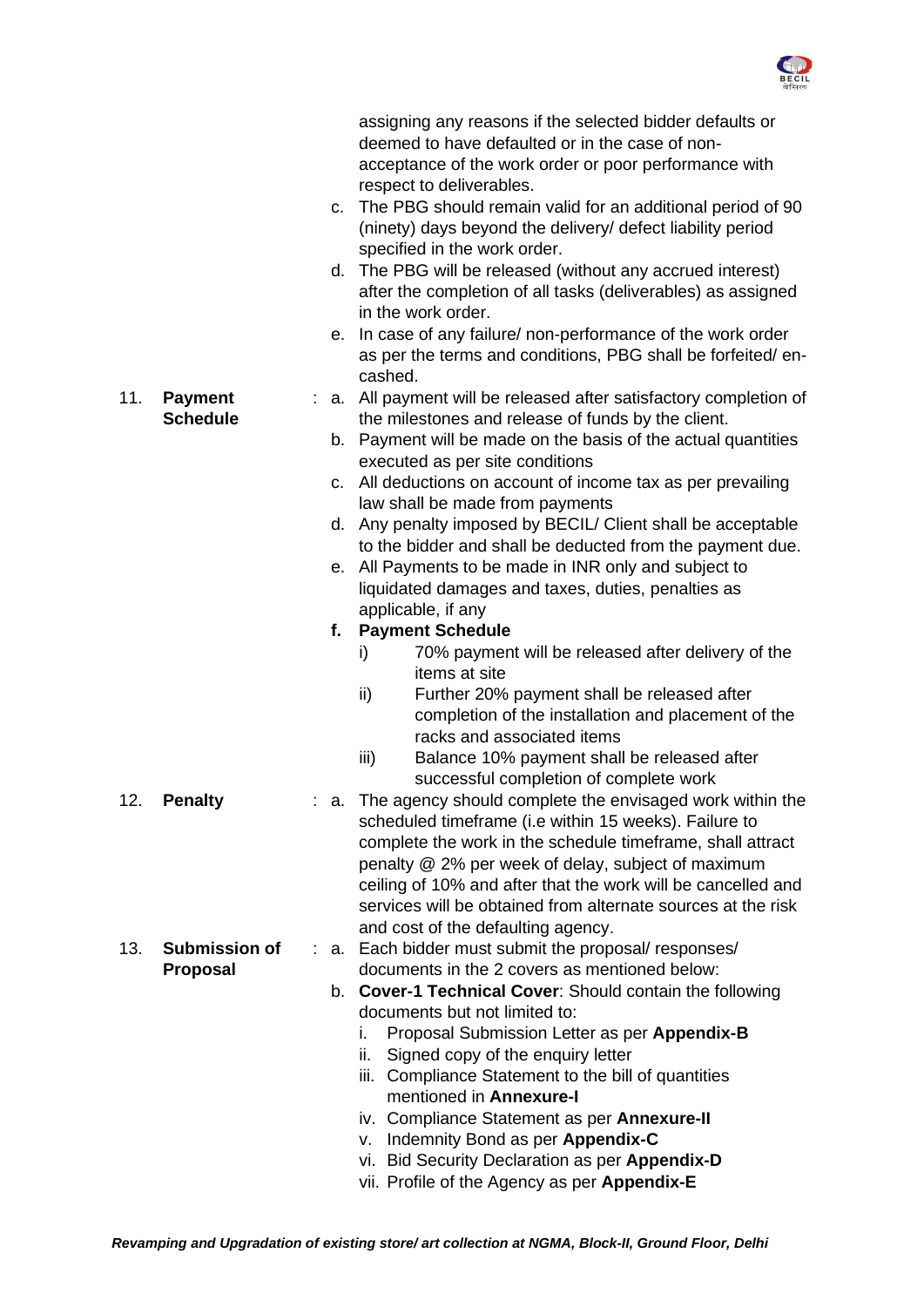

|                 |                      | C. | assigning any reasons if the selected bidder defaults or<br>deemed to have defaulted or in the case of non-<br>acceptance of the work order or poor performance with<br>respect to deliverables.<br>The PBG should remain valid for an additional period of 90<br>(ninety) days beyond the delivery/ defect liability period<br>specified in the work order.<br>d. The PBG will be released (without any accrued interest)<br>after the completion of all tasks (deliverables) as assigned<br>in the work order.<br>e. In case of any failure/ non-performance of the work order |
|-----------------|----------------------|----|----------------------------------------------------------------------------------------------------------------------------------------------------------------------------------------------------------------------------------------------------------------------------------------------------------------------------------------------------------------------------------------------------------------------------------------------------------------------------------------------------------------------------------------------------------------------------------|
|                 |                      |    | as per the terms and conditions, PBG shall be forfeited/en-<br>cashed.                                                                                                                                                                                                                                                                                                                                                                                                                                                                                                           |
| 11.             | <b>Payment</b>       |    | : a. All payment will be released after satisfactory completion of                                                                                                                                                                                                                                                                                                                                                                                                                                                                                                               |
|                 | <b>Schedule</b>      |    | the milestones and release of funds by the client.<br>b. Payment will be made on the basis of the actual quantities<br>executed as per site conditions                                                                                                                                                                                                                                                                                                                                                                                                                           |
|                 |                      |    | c. All deductions on account of income tax as per prevailing<br>law shall be made from payments                                                                                                                                                                                                                                                                                                                                                                                                                                                                                  |
|                 |                      |    | d. Any penalty imposed by BECIL/ Client shall be acceptable                                                                                                                                                                                                                                                                                                                                                                                                                                                                                                                      |
|                 |                      | е. | to the bidder and shall be deducted from the payment due.<br>All Payments to be made in INR only and subject to                                                                                                                                                                                                                                                                                                                                                                                                                                                                  |
|                 |                      |    | liquidated damages and taxes, duties, penalties as                                                                                                                                                                                                                                                                                                                                                                                                                                                                                                                               |
|                 |                      |    | applicable, if any                                                                                                                                                                                                                                                                                                                                                                                                                                                                                                                                                               |
|                 |                      |    | f. Payment Schedule<br>70% payment will be released after delivery of the<br>i)                                                                                                                                                                                                                                                                                                                                                                                                                                                                                                  |
|                 |                      |    | items at site                                                                                                                                                                                                                                                                                                                                                                                                                                                                                                                                                                    |
|                 |                      |    | ii)<br>Further 20% payment shall be released after<br>completion of the installation and placement of the<br>racks and associated items                                                                                                                                                                                                                                                                                                                                                                                                                                          |
|                 |                      |    | Balance 10% payment shall be released after<br>iii)<br>successful completion of complete work                                                                                                                                                                                                                                                                                                                                                                                                                                                                                    |
| 12 <sub>2</sub> | <b>Penalty</b>       | а. | The agency should complete the envisaged work within the                                                                                                                                                                                                                                                                                                                                                                                                                                                                                                                         |
|                 |                      |    | scheduled timeframe (i.e within 15 weeks). Failure to                                                                                                                                                                                                                                                                                                                                                                                                                                                                                                                            |
|                 |                      |    | complete the work in the schedule timeframe, shall attract<br>penalty @ 2% per week of delay, subject of maximum                                                                                                                                                                                                                                                                                                                                                                                                                                                                 |
|                 |                      |    | ceiling of 10% and after that the work will be cancelled and                                                                                                                                                                                                                                                                                                                                                                                                                                                                                                                     |
|                 |                      |    | services will be obtained from alternate sources at the risk                                                                                                                                                                                                                                                                                                                                                                                                                                                                                                                     |
|                 |                      |    | and cost of the defaulting agency.                                                                                                                                                                                                                                                                                                                                                                                                                                                                                                                                               |
| 13.             | <b>Submission of</b> |    | a. Each bidder must submit the proposal/ responses/                                                                                                                                                                                                                                                                                                                                                                                                                                                                                                                              |
|                 | Proposal             |    | documents in the 2 covers as mentioned below:<br>b. Cover-1 Technical Cover: Should contain the following                                                                                                                                                                                                                                                                                                                                                                                                                                                                        |
|                 |                      |    | documents but not limited to:                                                                                                                                                                                                                                                                                                                                                                                                                                                                                                                                                    |
|                 |                      |    | Proposal Submission Letter as per Appendix-B<br>İ.                                                                                                                                                                                                                                                                                                                                                                                                                                                                                                                               |
|                 |                      |    | Signed copy of the enquiry letter<br>ii.                                                                                                                                                                                                                                                                                                                                                                                                                                                                                                                                         |
|                 |                      |    | iii. Compliance Statement to the bill of quantities<br>mentioned in Annexure-I                                                                                                                                                                                                                                                                                                                                                                                                                                                                                                   |
|                 |                      |    | iv. Compliance Statement as per Annexure-II                                                                                                                                                                                                                                                                                                                                                                                                                                                                                                                                      |
|                 |                      |    | v. Indemnity Bond as per Appendix-C                                                                                                                                                                                                                                                                                                                                                                                                                                                                                                                                              |
|                 |                      |    | vi. Bid Security Declaration as per Appendix-D                                                                                                                                                                                                                                                                                                                                                                                                                                                                                                                                   |
|                 |                      |    | vii. Profile of the Agency as per Appendix-E                                                                                                                                                                                                                                                                                                                                                                                                                                                                                                                                     |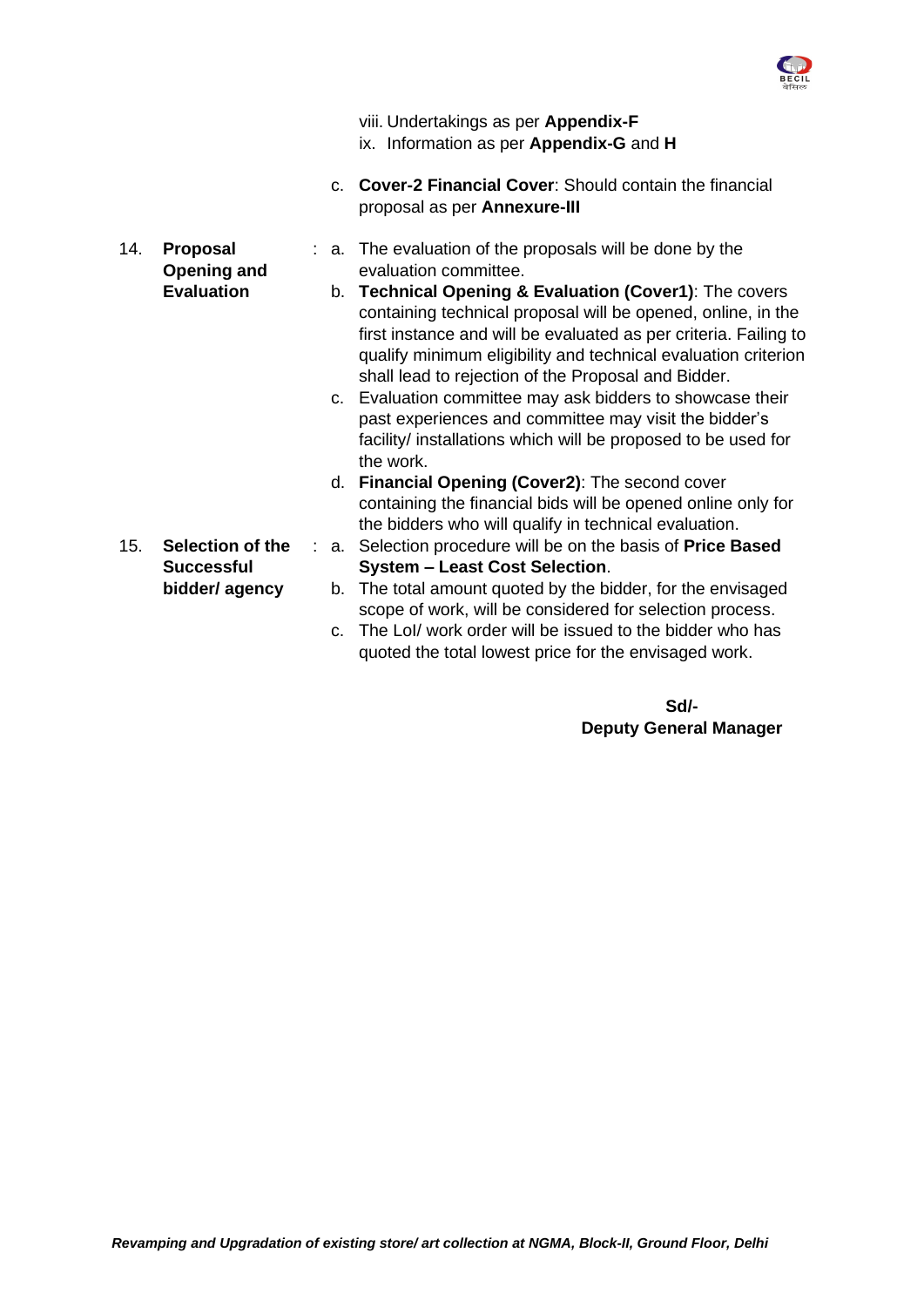

|  | viii. Undertakings as per Appendix-F<br>ix. Information as per Appendix-G and H          |
|--|------------------------------------------------------------------------------------------|
|  | c. Cover-2 Financial Cover: Should contain the financial<br>proposal as per Annexure-III |
|  | : a. The evaluation of the proposals will be done by the                                 |

- 14. **Proposal Opening and Evaluation**
- : a. The evaluation of the proposals will be done by the evaluation committee.
	- b. **Technical Opening & Evaluation (Cover1)**: The covers containing technical proposal will be opened, online, in the first instance and will be evaluated as per criteria. Failing to qualify minimum eligibility and technical evaluation criterion shall lead to rejection of the Proposal and Bidder.
	- c. Evaluation committee may ask bidders to showcase their past experiences and committee may visit the bidder's facility/ installations which will be proposed to be used for the work.
	- d. **Financial Opening (Cover2)**: The second cover containing the financial bids will be opened online only for the bidders who will qualify in technical evaluation.
- : a. Selection procedure will be on the basis of **Price Based System – Least Cost Selection**.
	- b. The total amount quoted by the bidder, for the envisaged scope of work, will be considered for selection process.
	- c. The LoI/ work order will be issued to the bidder who has quoted the total lowest price for the envisaged work.

## **Sd/- Deputy General Manager**

15. **Selection of the Successful bidder/ agency**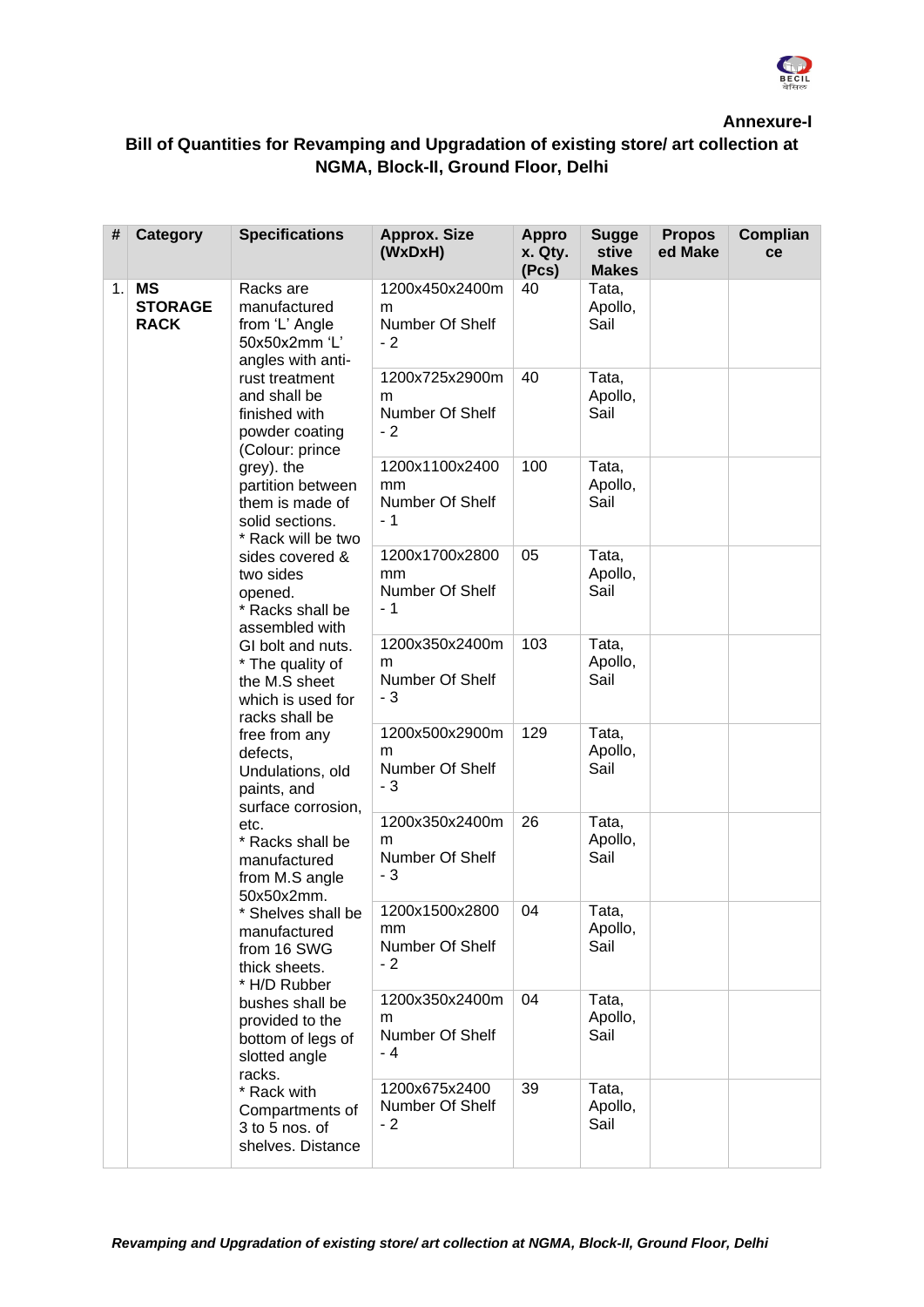

**Annexure-I**

# **Bill of Quantities for [Revamping and Upgradation of existing store/ art collection at](#page-0-0)  NGMA, [Block-II, Ground Floor,](#page-0-0) Delhi**

| #  | Category                                   | <b>Specifications</b>                                                                                                                                                                                                                                                                                                                                                                                                                                                                                                                                                                                 | <b>Approx. Size</b><br>(WxDxH)                  | <b>Appro</b><br>x. Qty.<br>(Pcs)               | <b>Sugge</b><br>stive<br><b>Makes</b> | <b>Propos</b><br>ed Make | Complian<br>ce |  |
|----|--------------------------------------------|-------------------------------------------------------------------------------------------------------------------------------------------------------------------------------------------------------------------------------------------------------------------------------------------------------------------------------------------------------------------------------------------------------------------------------------------------------------------------------------------------------------------------------------------------------------------------------------------------------|-------------------------------------------------|------------------------------------------------|---------------------------------------|--------------------------|----------------|--|
| 1. | <b>MS</b><br><b>STORAGE</b><br><b>RACK</b> | Racks are<br>manufactured<br>from 'L' Angle<br>50x50x2mm 'L'<br>angles with anti-                                                                                                                                                                                                                                                                                                                                                                                                                                                                                                                     | 1200x450x2400m<br>m<br>Number Of Shelf<br>$-2$  | 40                                             | Tata,<br>Apollo,<br>Sail              |                          |                |  |
|    |                                            | rust treatment<br>and shall be<br>finished with<br>powder coating<br>(Colour: prince                                                                                                                                                                                                                                                                                                                                                                                                                                                                                                                  | 1200x725x2900m<br>m<br>Number Of Shelf<br>$-2$  | 40                                             | Tata,<br>Apollo,<br>Sail              |                          |                |  |
|    |                                            | grey). the<br>partition between<br>them is made of<br>solid sections.<br>* Rack will be two                                                                                                                                                                                                                                                                                                                                                                                                                                                                                                           | 1200x1100x2400<br>mm<br>Number Of Shelf<br>- 1  | 100                                            | Tata,<br>Apollo,<br>Sail              |                          |                |  |
|    |                                            | sides covered &<br>two sides<br>opened.<br>* Racks shall be<br>assembled with<br>GI bolt and nuts.<br>* The quality of<br>the M.S sheet<br>which is used for<br>racks shall be<br>free from any<br>defects,<br>Undulations, old<br>paints, and<br>surface corrosion,<br>etc.<br>* Racks shall be<br>manufactured<br>from M.S angle<br>50x50x2mm.<br>* Shelves shall be<br>manufactured<br>from 16 SWG<br>thick sheets.<br>* H/D Rubber<br>bushes shall be<br>provided to the<br>bottom of legs of<br>slotted angle<br>racks.<br>* Rack with<br>Compartments of<br>3 to 5 nos. of<br>shelves. Distance | 1200x1700x2800<br>mm<br>Number Of Shelf<br>$-1$ | 05                                             | Tata,<br>Apollo,<br>Sail              |                          |                |  |
|    |                                            |                                                                                                                                                                                                                                                                                                                                                                                                                                                                                                                                                                                                       | 1200x350x2400m<br>m<br>Number Of Shelf<br>- 3   | 103                                            | Tata,<br>Apollo,<br>Sail              |                          |                |  |
|    |                                            |                                                                                                                                                                                                                                                                                                                                                                                                                                                                                                                                                                                                       |                                                 | 1200x500x2900m<br>m<br>Number Of Shelf<br>$-3$ | 129                                   | Tata,<br>Apollo,<br>Sail |                |  |
|    |                                            |                                                                                                                                                                                                                                                                                                                                                                                                                                                                                                                                                                                                       | 1200x350x2400m<br>m<br>Number Of Shelf<br>- 3   | 26                                             | Tata,<br>Apollo,<br>Sail              |                          |                |  |
|    |                                            |                                                                                                                                                                                                                                                                                                                                                                                                                                                                                                                                                                                                       | 1200x1500x2800<br>mm<br>Number Of Shelf<br>$-2$ | 04                                             | Tata,<br>Apollo,<br>Sail              |                          |                |  |
|    |                                            |                                                                                                                                                                                                                                                                                                                                                                                                                                                                                                                                                                                                       | 1200x350x2400m<br>m<br>Number Of Shelf<br>- 4   | 04                                             | Tata,<br>Apollo,<br>Sail              |                          |                |  |
|    |                                            |                                                                                                                                                                                                                                                                                                                                                                                                                                                                                                                                                                                                       |                                                 | 1200x675x2400<br>Number Of Shelf<br>$-2$       | 39                                    | Tata,<br>Apollo,<br>Sail |                |  |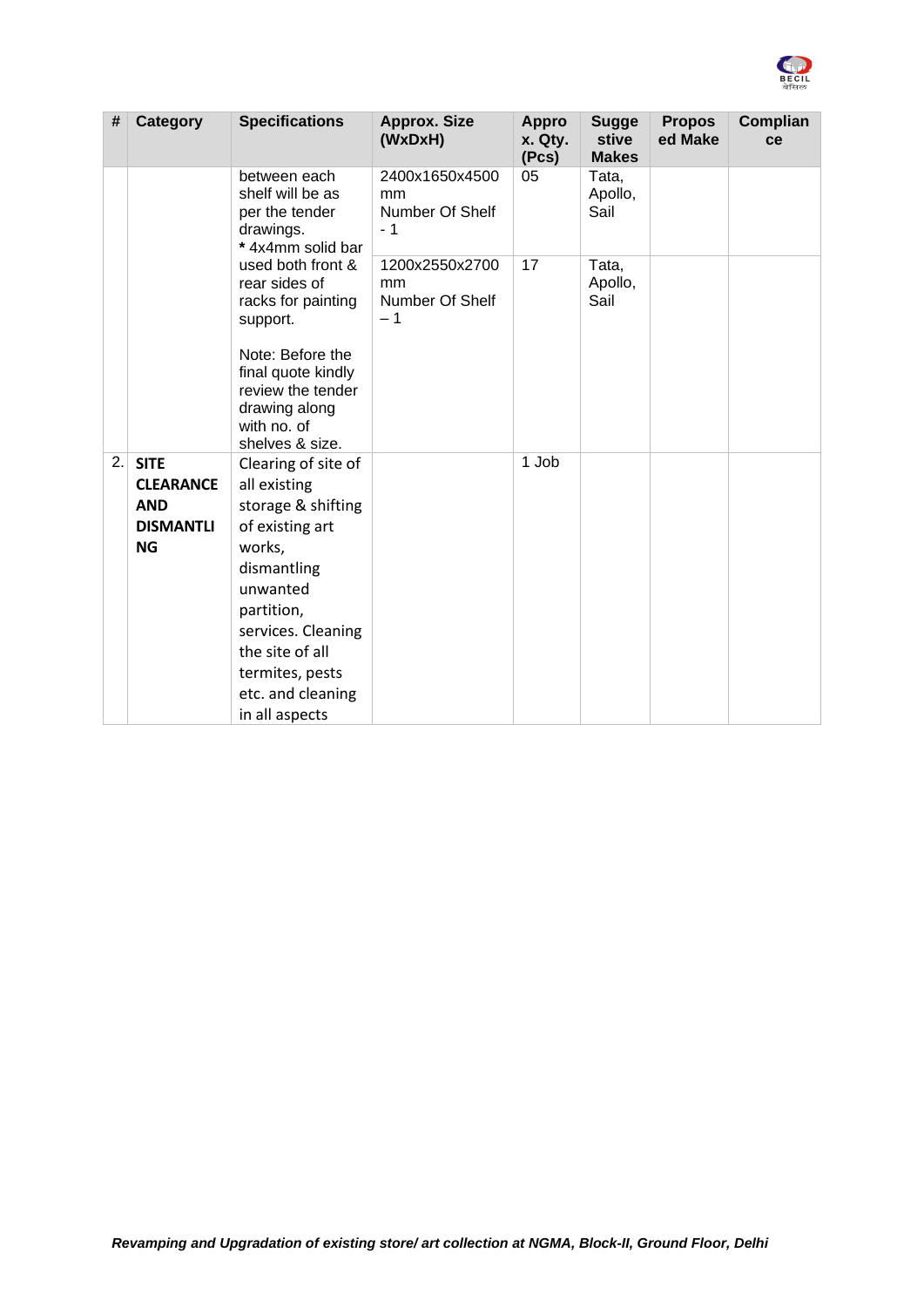

| #   | <b>Category</b>                                                                | <b>Specifications</b>                                                                                                                                                                                                              | <b>Approx. Size</b><br>(WxDxH)                  | <b>Appro</b><br>x. Qty.<br>(Pcs) | <b>Sugge</b><br>stive<br><b>Makes</b> | <b>Propos</b><br>ed Make | Complian<br>ce |
|-----|--------------------------------------------------------------------------------|------------------------------------------------------------------------------------------------------------------------------------------------------------------------------------------------------------------------------------|-------------------------------------------------|----------------------------------|---------------------------------------|--------------------------|----------------|
|     |                                                                                | between each<br>shelf will be as<br>per the tender<br>drawings.<br>*4x4mm solid bar                                                                                                                                                | 2400x1650x4500<br>mm<br>Number Of Shelf<br>$-1$ | 05                               | Tata,<br>Apollo,<br>Sail              |                          |                |
|     |                                                                                | used both front &<br>rear sides of<br>racks for painting<br>support.                                                                                                                                                               | 1200x2550x2700<br>mm<br>Number Of Shelf<br>$-1$ | 17                               | Tata,<br>Apollo,<br>Sail              |                          |                |
|     |                                                                                | Note: Before the<br>final quote kindly<br>review the tender<br>drawing along<br>with no. of<br>shelves & size.                                                                                                                     |                                                 |                                  |                                       |                          |                |
| 2.1 | <b>SITE</b><br><b>CLEARANCE</b><br><b>AND</b><br><b>DISMANTLI</b><br><b>NG</b> | Clearing of site of<br>all existing<br>storage & shifting<br>of existing art<br>works,<br>dismantling<br>unwanted<br>partition,<br>services. Cleaning<br>the site of all<br>termites, pests<br>etc. and cleaning<br>in all aspects |                                                 | 1 Job                            |                                       |                          |                |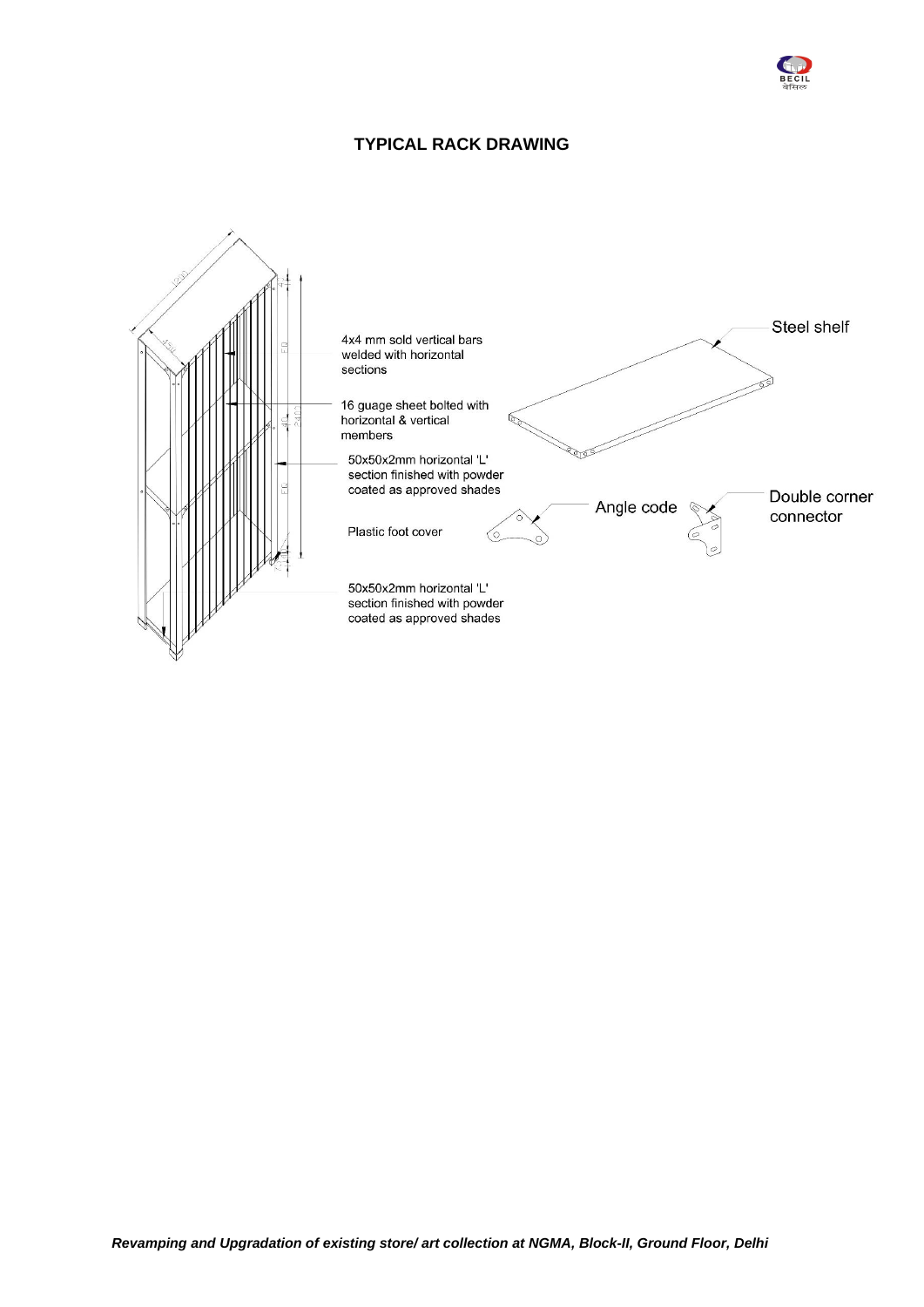

### **TYPICAL RACK DRAWING**

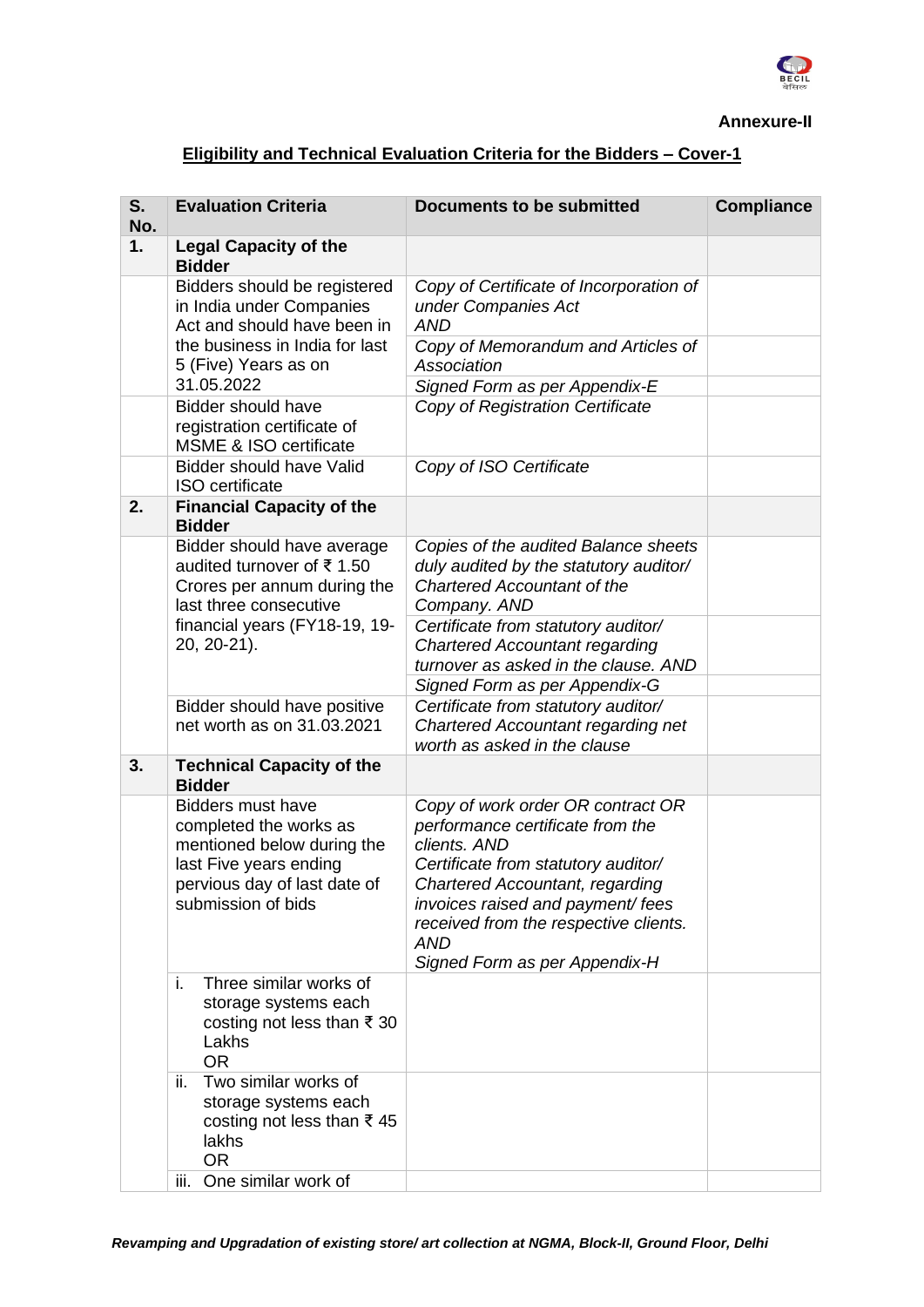

#### **Annexure-II**

# **Eligibility and Technical Evaluation Criteria for the Bidders – Cover-1**

| S.<br>No. | <b>Evaluation Criteria</b>                                                                                                                                       | <b>Documents to be submitted</b>                                                                                                                                                                                                                                                             | <b>Compliance</b> |
|-----------|------------------------------------------------------------------------------------------------------------------------------------------------------------------|----------------------------------------------------------------------------------------------------------------------------------------------------------------------------------------------------------------------------------------------------------------------------------------------|-------------------|
| 1.        | <b>Legal Capacity of the</b><br><b>Bidder</b>                                                                                                                    |                                                                                                                                                                                                                                                                                              |                   |
|           | Bidders should be registered<br>in India under Companies<br>Act and should have been in                                                                          | Copy of Certificate of Incorporation of<br>under Companies Act<br><b>AND</b>                                                                                                                                                                                                                 |                   |
|           | the business in India for last<br>5 (Five) Years as on<br>31.05.2022                                                                                             | Copy of Memorandum and Articles of<br>Association<br>Signed Form as per Appendix-E                                                                                                                                                                                                           |                   |
|           | <b>Bidder should have</b><br>registration certificate of<br><b>MSME &amp; ISO certificate</b>                                                                    | Copy of Registration Certificate                                                                                                                                                                                                                                                             |                   |
|           | <b>Bidder should have Valid</b><br><b>ISO</b> certificate                                                                                                        | Copy of ISO Certificate                                                                                                                                                                                                                                                                      |                   |
| 2.        | <b>Financial Capacity of the</b><br><b>Bidder</b>                                                                                                                |                                                                                                                                                                                                                                                                                              |                   |
|           | Bidder should have average<br>audited turnover of ₹1.50<br>Crores per annum during the<br>last three consecutive                                                 | Copies of the audited Balance sheets<br>duly audited by the statutory auditor/<br><b>Chartered Accountant of the</b><br>Company. AND                                                                                                                                                         |                   |
|           | financial years (FY18-19, 19-<br>20, 20-21).                                                                                                                     | Certificate from statutory auditor/<br><b>Chartered Accountant regarding</b><br>turnover as asked in the clause. AND                                                                                                                                                                         |                   |
|           |                                                                                                                                                                  | Signed Form as per Appendix-G                                                                                                                                                                                                                                                                |                   |
|           | Bidder should have positive<br>net worth as on 31.03.2021                                                                                                        | Certificate from statutory auditor/<br>Chartered Accountant regarding net<br>worth as asked in the clause                                                                                                                                                                                    |                   |
| 3.        | <b>Technical Capacity of the</b><br><b>Bidder</b>                                                                                                                |                                                                                                                                                                                                                                                                                              |                   |
|           | <b>Bidders must have</b><br>completed the works as<br>mentioned below during the<br>last Five years ending<br>pervious day of last date of<br>submission of bids | Copy of work order OR contract OR<br>performance certificate from the<br>clients. AND<br>Certificate from statutory auditor/<br>Chartered Accountant, regarding<br>invoices raised and payment/ fees<br>received from the respective clients.<br><b>AND</b><br>Signed Form as per Appendix-H |                   |
|           | i.<br>Three similar works of<br>storage systems each<br>costing not less than ₹ 30<br>Lakhs<br><b>OR</b>                                                         |                                                                                                                                                                                                                                                                                              |                   |
|           | ii.<br>Two similar works of<br>storage systems each<br>costing not less than ₹45<br>lakhs<br><b>OR</b>                                                           |                                                                                                                                                                                                                                                                                              |                   |
|           | One similar work of<br>iii.                                                                                                                                      |                                                                                                                                                                                                                                                                                              |                   |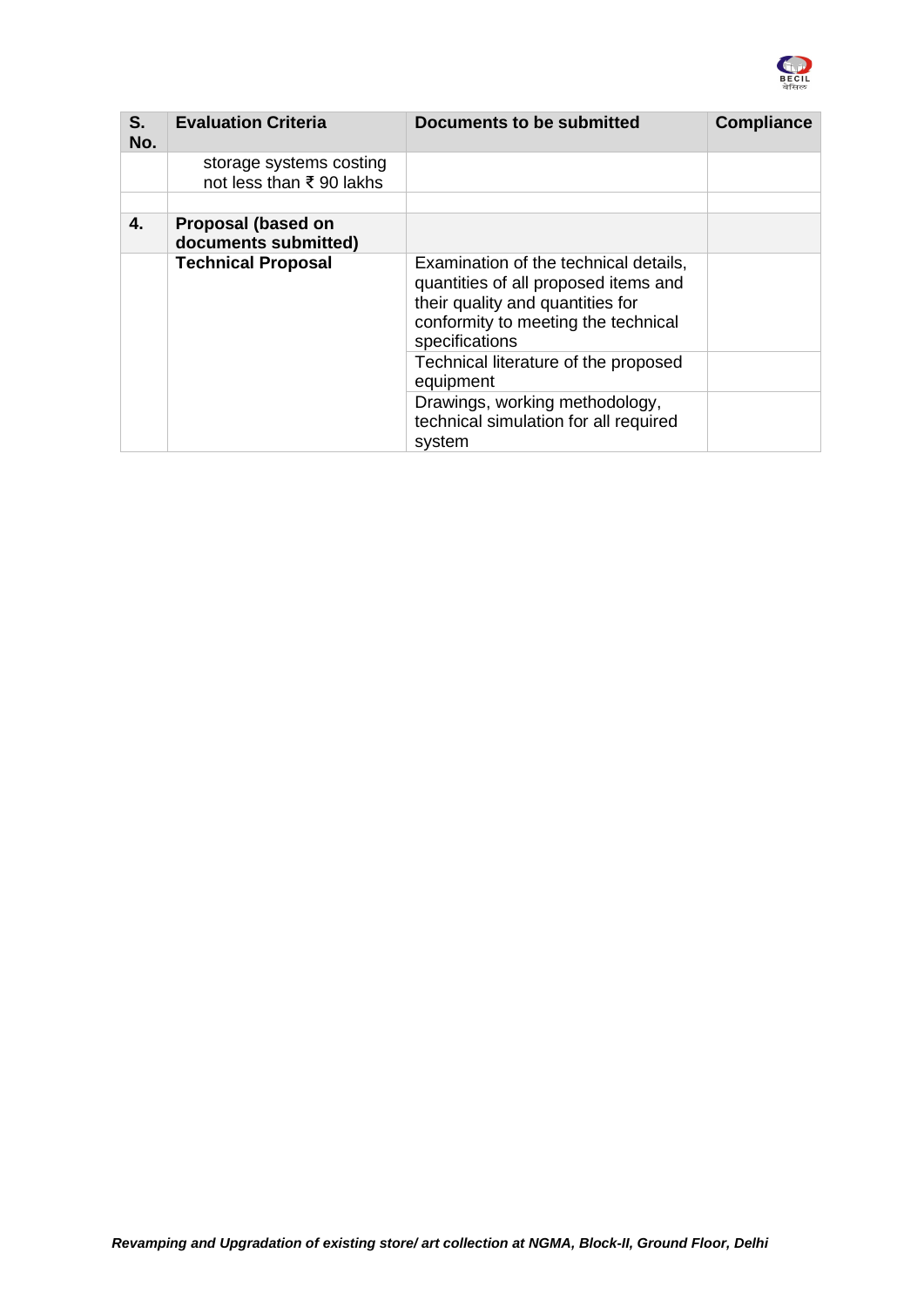

| S.<br>No. | <b>Evaluation Criteria</b>                         | Documents to be submitted                                                                                                                                                  | <b>Compliance</b> |
|-----------|----------------------------------------------------|----------------------------------------------------------------------------------------------------------------------------------------------------------------------------|-------------------|
|           | storage systems costing<br>not less than ₹90 lakhs |                                                                                                                                                                            |                   |
|           |                                                    |                                                                                                                                                                            |                   |
| 4.        | Proposal (based on<br>documents submitted)         |                                                                                                                                                                            |                   |
|           | <b>Technical Proposal</b>                          | Examination of the technical details,<br>quantities of all proposed items and<br>their quality and quantities for<br>conformity to meeting the technical<br>specifications |                   |
|           |                                                    | Technical literature of the proposed<br>equipment                                                                                                                          |                   |
|           |                                                    | Drawings, working methodology,<br>technical simulation for all required<br>system                                                                                          |                   |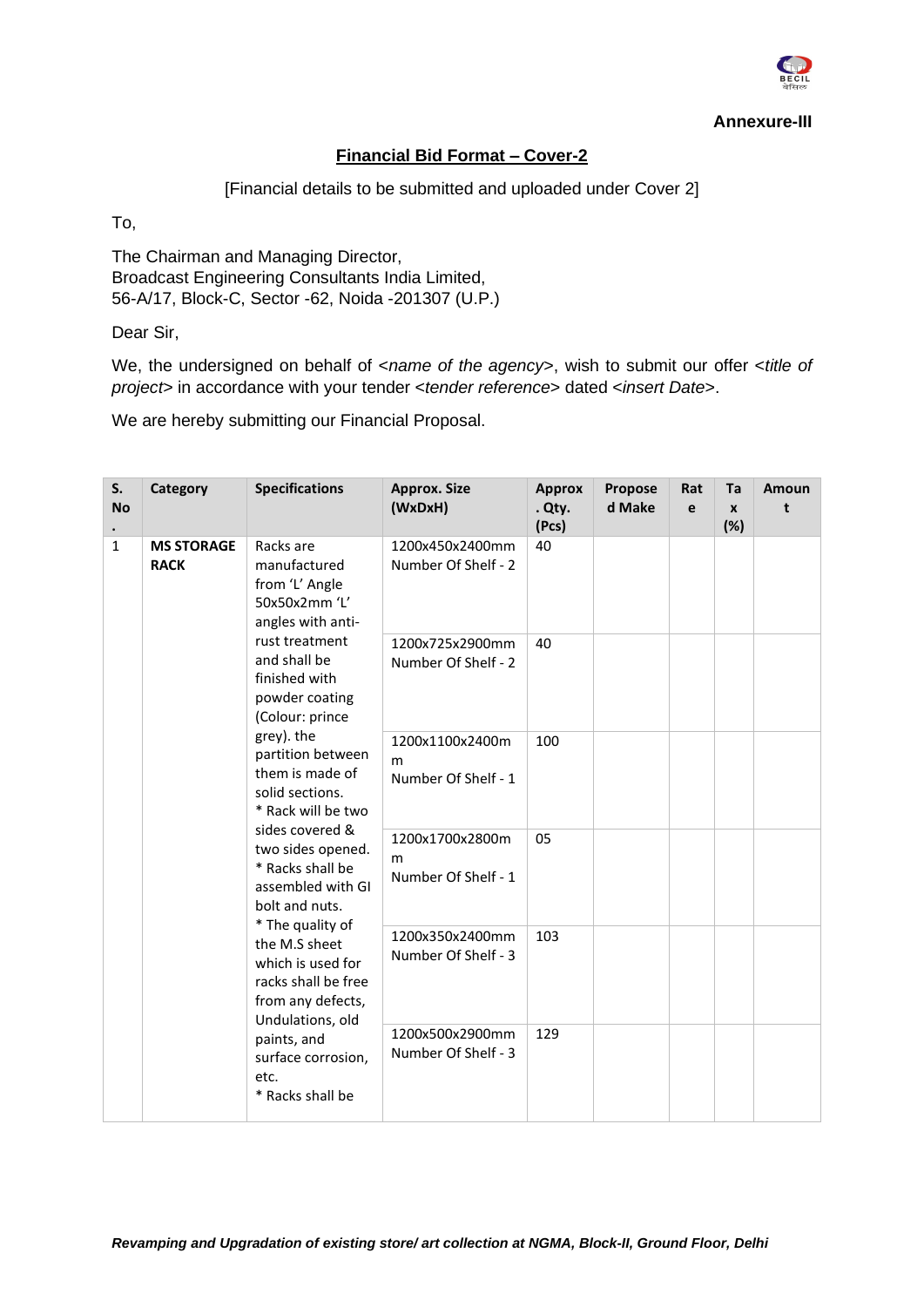

**Annexure-III**

## **Financial Bid Format – Cover-2**

[Financial details to be submitted and uploaded under Cover 2]

To,

The Chairman and Managing Director, Broadcast Engineering Consultants India Limited, 56-A/17, Block-C, Sector -62, Noida -201307 (U.P.)

Dear Sir,

We, the undersigned on behalf of <*name of the agency*>, wish to submit our offer <*title of project*> in accordance with your tender <*tender reference*> dated <*insert Date*>.

We are hereby submitting our Financial Proposal.

| S.<br><b>No</b> | Category                         | <b>Specifications</b>                                                                                                                                                                                                                                                                                                                                                                                                                                                                                                                                                  | <b>Approx. Size</b><br>(WxDxH)              | <b>Approx</b><br>. Qty.<br>(Pcs)            | Propose<br>d Make | Rat<br>e | Ta<br>$\mathbf{x}$<br>(%) | Amoun<br>t |  |
|-----------------|----------------------------------|------------------------------------------------------------------------------------------------------------------------------------------------------------------------------------------------------------------------------------------------------------------------------------------------------------------------------------------------------------------------------------------------------------------------------------------------------------------------------------------------------------------------------------------------------------------------|---------------------------------------------|---------------------------------------------|-------------------|----------|---------------------------|------------|--|
| $\mathbf{1}$    | <b>MS STORAGE</b><br><b>RACK</b> | Racks are<br>manufactured<br>from 'L' Angle<br>50x50x2mm 'L'<br>angles with anti-<br>rust treatment<br>and shall be<br>finished with<br>powder coating<br>(Colour: prince<br>grey). the<br>partition between<br>them is made of<br>solid sections.<br>* Rack will be two<br>sides covered &<br>two sides opened.<br>* Racks shall be<br>assembled with GI<br>bolt and nuts.<br>* The quality of<br>the M.S sheet<br>which is used for<br>racks shall be free<br>from any defects,<br>Undulations, old<br>paints, and<br>surface corrosion,<br>etc.<br>* Racks shall be | 1200x450x2400mm<br>Number Of Shelf - 2      | 40                                          |                   |          |                           |            |  |
|                 |                                  |                                                                                                                                                                                                                                                                                                                                                                                                                                                                                                                                                                        | 1200x725x2900mm<br>Number Of Shelf - 2      | 40                                          |                   |          |                           |            |  |
|                 |                                  |                                                                                                                                                                                                                                                                                                                                                                                                                                                                                                                                                                        | 1200x1100x2400m<br>m<br>Number Of Shelf - 1 | 100                                         |                   |          |                           |            |  |
|                 |                                  |                                                                                                                                                                                                                                                                                                                                                                                                                                                                                                                                                                        |                                             | 1200x1700x2800m<br>m<br>Number Of Shelf - 1 | 05                |          |                           |            |  |
|                 |                                  |                                                                                                                                                                                                                                                                                                                                                                                                                                                                                                                                                                        | 1200x350x2400mm<br>Number Of Shelf - 3      | 103                                         |                   |          |                           |            |  |
|                 |                                  |                                                                                                                                                                                                                                                                                                                                                                                                                                                                                                                                                                        | 1200x500x2900mm<br>Number Of Shelf - 3      | 129                                         |                   |          |                           |            |  |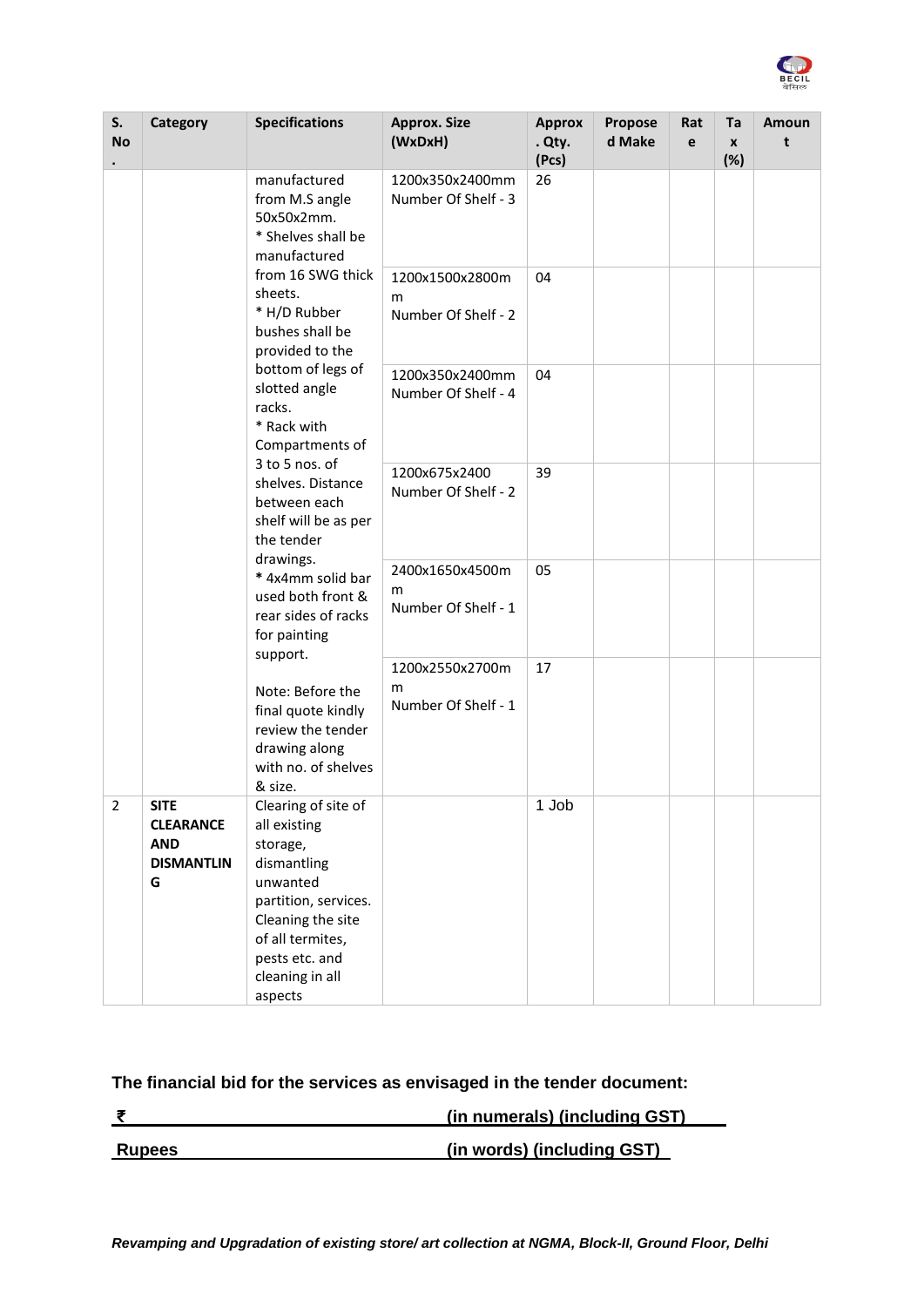

| S.<br><b>No</b> | Category                                                                                                                   | <b>Specifications</b>                                                                                                                                                                       | <b>Approx. Size</b><br>(WxDxH)              | <b>Approx</b><br>. Qty.<br>(Pcs) | Propose<br>d Make | Rat<br>e | Ta<br>$\boldsymbol{x}$<br>(%) | Amoun<br>t |
|-----------------|----------------------------------------------------------------------------------------------------------------------------|---------------------------------------------------------------------------------------------------------------------------------------------------------------------------------------------|---------------------------------------------|----------------------------------|-------------------|----------|-------------------------------|------------|
|                 |                                                                                                                            | manufactured<br>from M.S angle<br>50x50x2mm.<br>* Shelves shall be<br>manufactured                                                                                                          | 1200x350x2400mm<br>Number Of Shelf - 3      | 26                               |                   |          |                               |            |
|                 |                                                                                                                            | from 16 SWG thick<br>sheets.<br>* H/D Rubber<br>bushes shall be<br>provided to the<br>bottom of legs of<br>slotted angle<br>racks.<br>* Rack with<br>Compartments of                        | 1200x1500x2800m<br>m<br>Number Of Shelf - 2 | 04                               |                   |          |                               |            |
|                 |                                                                                                                            |                                                                                                                                                                                             | 1200x350x2400mm<br>Number Of Shelf - 4      | 04                               |                   |          |                               |            |
|                 |                                                                                                                            | 3 to 5 nos. of<br>shelves. Distance<br>between each<br>shelf will be as per<br>the tender<br>drawings.                                                                                      | 1200x675x2400<br>Number Of Shelf - 2        | 39                               |                   |          |                               |            |
|                 |                                                                                                                            | * 4x4mm solid bar<br>used both front &<br>rear sides of racks<br>for painting                                                                                                               | 2400x1650x4500m<br>m<br>Number Of Shelf - 1 | 05                               |                   |          |                               |            |
|                 | support.<br>Note: Before the<br>final quote kindly<br>review the tender<br>drawing along<br>with no. of shelves<br>& size. | 1200x2550x2700m<br>m<br>Number Of Shelf - 1                                                                                                                                                 | 17                                          |                                  |                   |          |                               |            |
| $\overline{2}$  | <b>SITE</b><br><b>CLEARANCE</b><br><b>AND</b><br><b>DISMANTLIN</b><br>G                                                    | Clearing of site of<br>all existing<br>storage,<br>dismantling<br>unwanted<br>partition, services.<br>Cleaning the site<br>of all termites,<br>pests etc. and<br>cleaning in all<br>aspects |                                             | 1 Job                            |                   |          |                               |            |

# **The financial bid for the services as envisaged in the tender document:**

|               | (in numerals) (including GST) |
|---------------|-------------------------------|
|               |                               |
| <b>Rupees</b> | (in words) (including GST)    |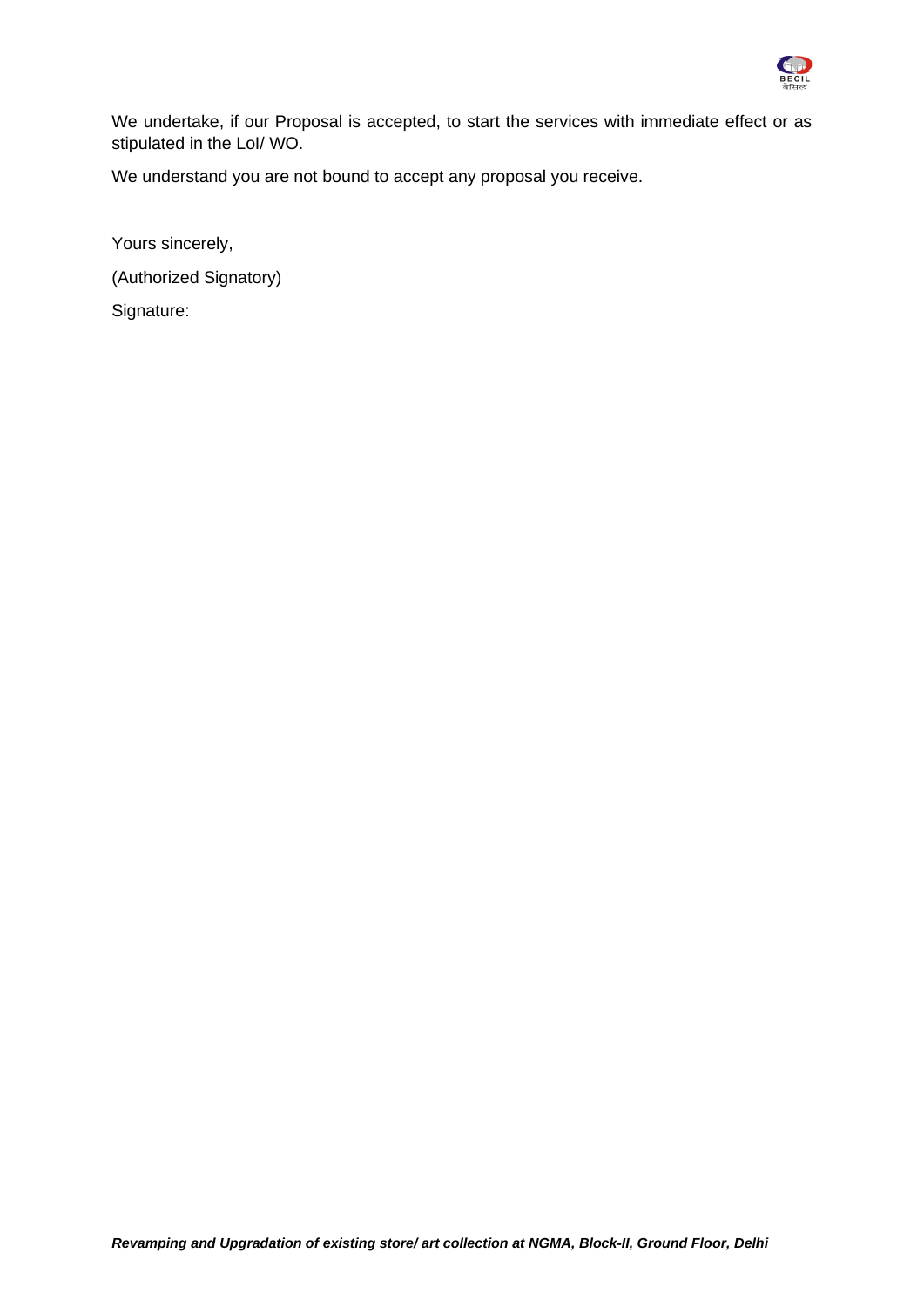

We undertake, if our Proposal is accepted, to start the services with immediate effect or as stipulated in the LoI/ WO.

We understand you are not bound to accept any proposal you receive.

Yours sincerely, (Authorized Signatory) Signature: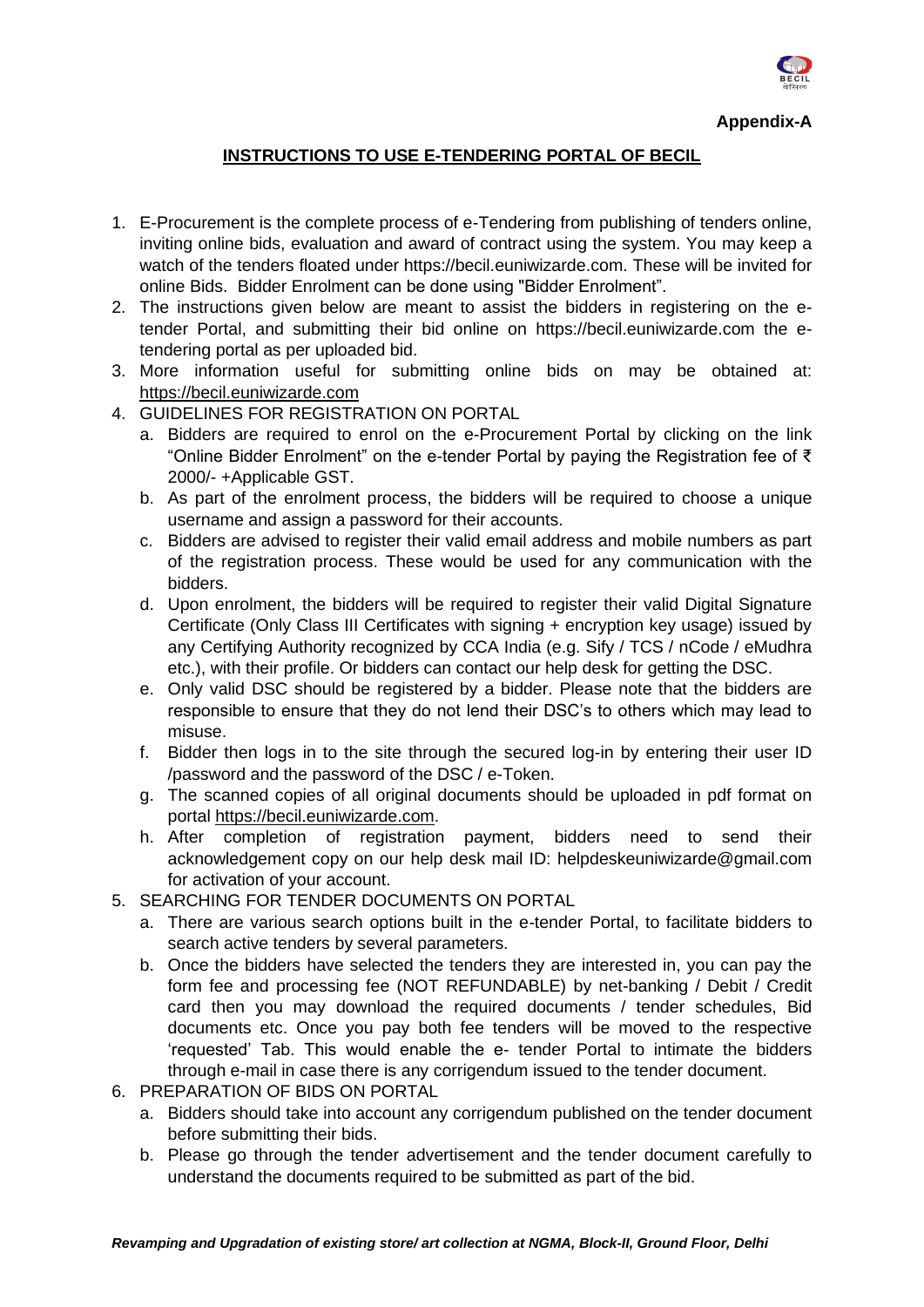

### **INSTRUCTIONS TO USE E-TENDERING PORTAL OF BECIL**

- 1. E-Procurement is the complete process of e-Tendering from publishing of tenders online, inviting online bids, evaluation and award of contract using the system. You may keep a watch of the tenders floated under https://becil.euniwizarde.com. These will be invited for online Bids. Bidder Enrolment can be done using "Bidder Enrolment".
- 2. The instructions given below are meant to assist the bidders in registering on the etender Portal, and submitting their bid online on https://becil.euniwizarde.com the etendering portal as per uploaded bid.
- 3. More information useful for submitting online bids on may be obtained at: [https://becil.euniwizarde.com](https://becil.euniwizarde.com/)
- 4. GUIDELINES FOR REGISTRATION ON PORTAL
	- a. Bidders are required to enrol on the e-Procurement Portal by clicking on the link "Online Bidder Enrolment" on the e-tender Portal by paying the Registration fee of ₹ 2000/- +Applicable GST.
	- b. As part of the enrolment process, the bidders will be required to choose a unique username and assign a password for their accounts.
	- c. Bidders are advised to register their valid email address and mobile numbers as part of the registration process. These would be used for any communication with the bidders.
	- d. Upon enrolment, the bidders will be required to register their valid Digital Signature Certificate (Only Class III Certificates with signing + encryption key usage) issued by any Certifying Authority recognized by CCA India (e.g. Sify / TCS / nCode / eMudhra etc.), with their profile. Or bidders can contact our help desk for getting the DSC.
	- e. Only valid DSC should be registered by a bidder. Please note that the bidders are responsible to ensure that they do not lend their DSC's to others which may lead to misuse.
	- f. Bidder then logs in to the site through the secured log-in by entering their user ID /password and the password of the DSC / e-Token.
	- g. The scanned copies of all original documents should be uploaded in pdf format on portal [https://becil.euniwizarde.com.](https://becil.euniwizarde.com/)
	- h. After completion of registration payment, bidders need to send their acknowledgement copy on our help desk mail ID: helpdeskeuniwizarde@gmail.com for activation of your account.
- 5. SEARCHING FOR TENDER DOCUMENTS ON PORTAL
	- a. There are various search options built in the e-tender Portal, to facilitate bidders to search active tenders by several parameters.
	- b. Once the bidders have selected the tenders they are interested in, you can pay the form fee and processing fee (NOT REFUNDABLE) by net-banking / Debit / Credit card then you may download the required documents / tender schedules, Bid documents etc. Once you pay both fee tenders will be moved to the respective 'requested' Tab. This would enable the e- tender Portal to intimate the bidders through e-mail in case there is any corrigendum issued to the tender document.
- 6. PREPARATION OF BIDS ON PORTAL
	- a. Bidders should take into account any corrigendum published on the tender document before submitting their bids.
	- b. Please go through the tender advertisement and the tender document carefully to understand the documents required to be submitted as part of the bid.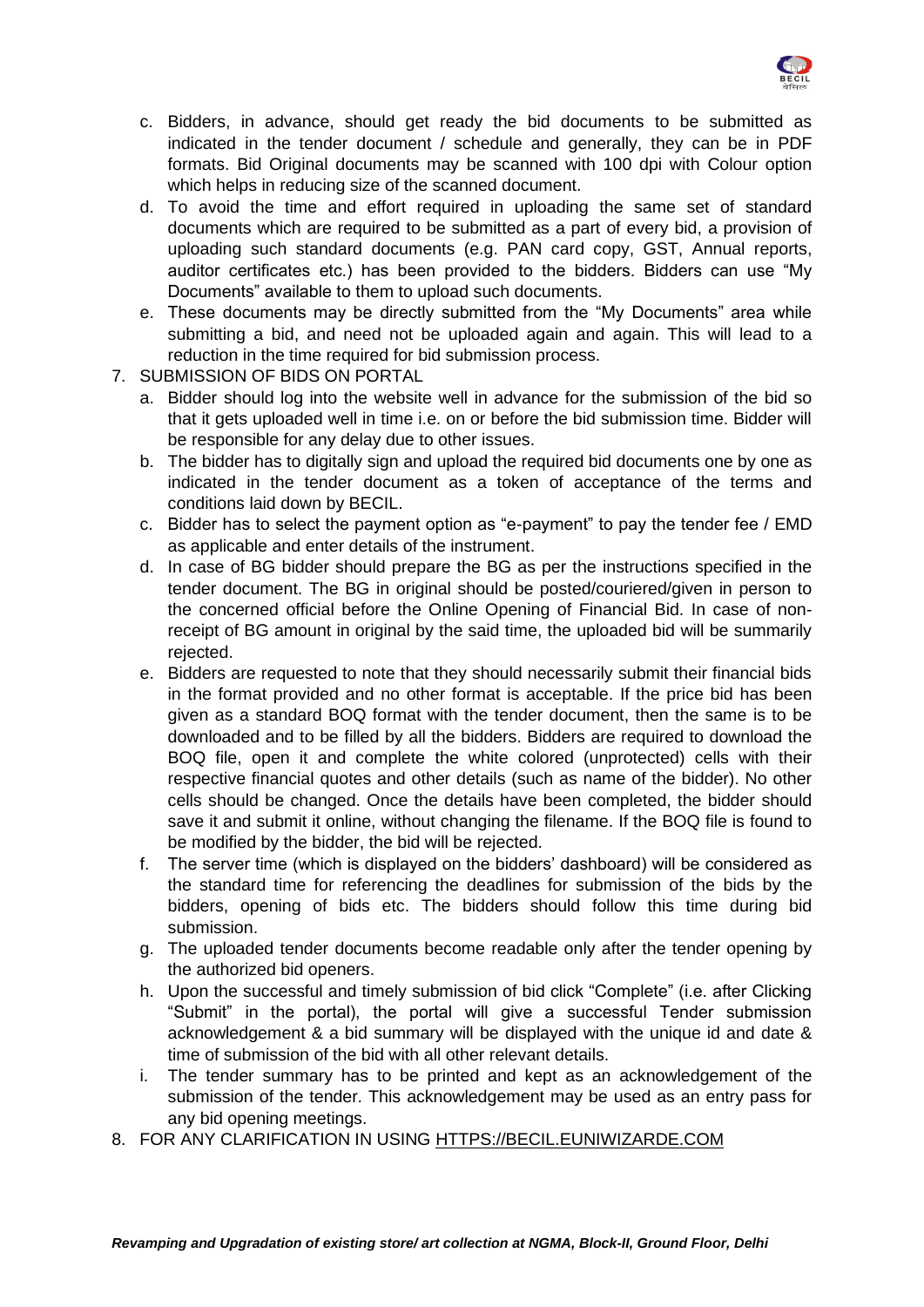

- c. Bidders, in advance, should get ready the bid documents to be submitted as indicated in the tender document / schedule and generally, they can be in PDF formats. Bid Original documents may be scanned with 100 dpi with Colour option which helps in reducing size of the scanned document.
- d. To avoid the time and effort required in uploading the same set of standard documents which are required to be submitted as a part of every bid, a provision of uploading such standard documents (e.g. PAN card copy, GST, Annual reports, auditor certificates etc.) has been provided to the bidders. Bidders can use "My Documents" available to them to upload such documents.
- e. These documents may be directly submitted from the "My Documents" area while submitting a bid, and need not be uploaded again and again. This will lead to a reduction in the time required for bid submission process.
- 7. SUBMISSION OF BIDS ON PORTAL
	- a. Bidder should log into the website well in advance for the submission of the bid so that it gets uploaded well in time i.e. on or before the bid submission time. Bidder will be responsible for any delay due to other issues.
	- b. The bidder has to digitally sign and upload the required bid documents one by one as indicated in the tender document as a token of acceptance of the terms and conditions laid down by BECIL.
	- c. Bidder has to select the payment option as "e-payment" to pay the tender fee / EMD as applicable and enter details of the instrument.
	- d. In case of BG bidder should prepare the BG as per the instructions specified in the tender document. The BG in original should be posted/couriered/given in person to the concerned official before the Online Opening of Financial Bid. In case of nonreceipt of BG amount in original by the said time, the uploaded bid will be summarily rejected.
	- e. Bidders are requested to note that they should necessarily submit their financial bids in the format provided and no other format is acceptable. If the price bid has been given as a standard BOQ format with the tender document, then the same is to be downloaded and to be filled by all the bidders. Bidders are required to download the BOQ file, open it and complete the white colored (unprotected) cells with their respective financial quotes and other details (such as name of the bidder). No other cells should be changed. Once the details have been completed, the bidder should save it and submit it online, without changing the filename. If the BOQ file is found to be modified by the bidder, the bid will be rejected.
	- f. The server time (which is displayed on the bidders' dashboard) will be considered as the standard time for referencing the deadlines for submission of the bids by the bidders, opening of bids etc. The bidders should follow this time during bid submission.
	- g. The uploaded tender documents become readable only after the tender opening by the authorized bid openers.
	- h. Upon the successful and timely submission of bid click "Complete" (i.e. after Clicking "Submit" in the portal), the portal will give a successful Tender submission acknowledgement & a bid summary will be displayed with the unique id and date & time of submission of the bid with all other relevant details.
	- i. The tender summary has to be printed and kept as an acknowledgement of the submission of the tender. This acknowledgement may be used as an entry pass for any bid opening meetings.
- 8. FOR ANY CLARIFICATION IN USING [HTTPS://BECIL.EUNIWIZARDE.COM](https://becil.euniwizarde.com/)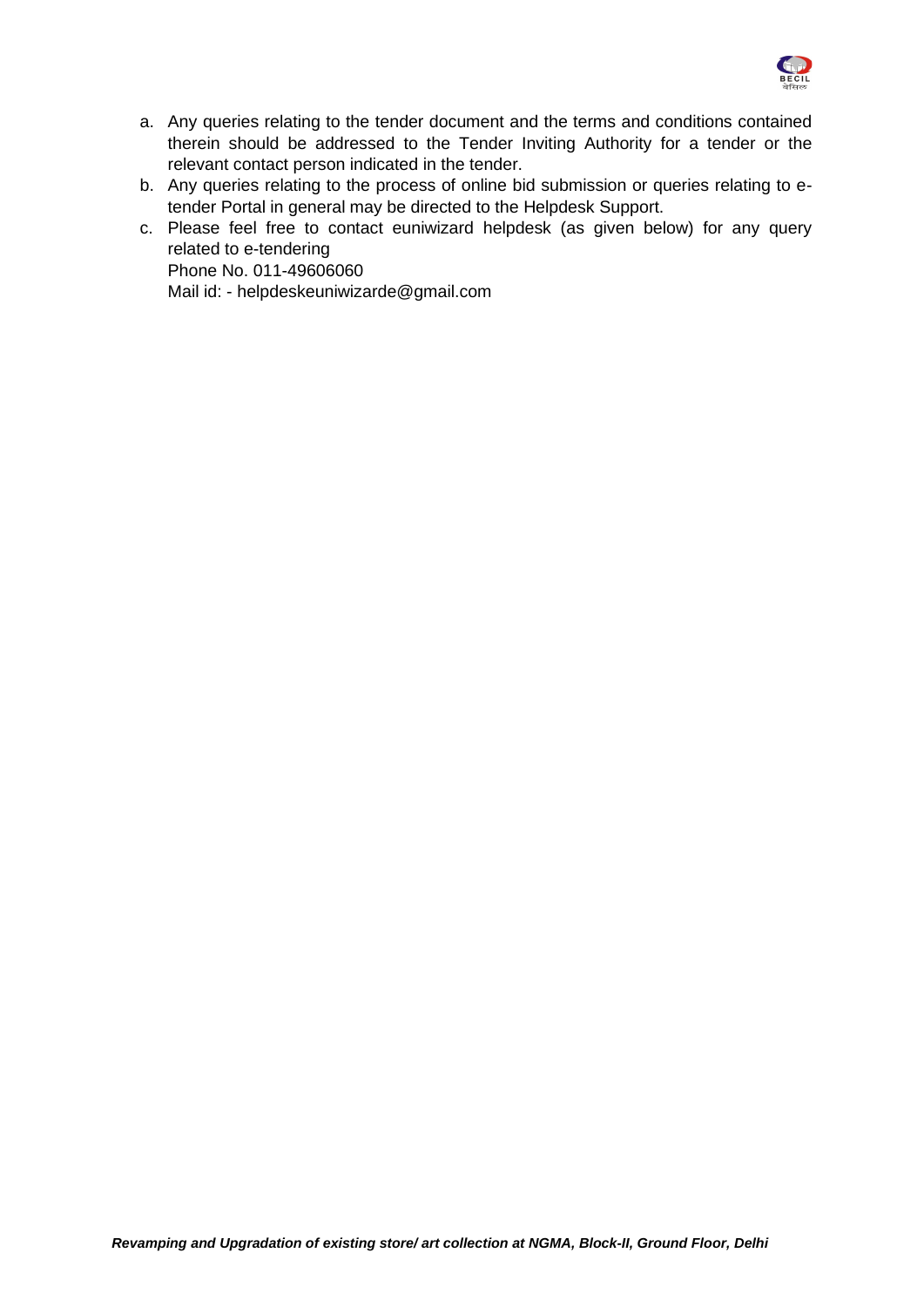

- a. Any queries relating to the tender document and the terms and conditions contained therein should be addressed to the Tender Inviting Authority for a tender or the relevant contact person indicated in the tender.
- b. Any queries relating to the process of online bid submission or queries relating to etender Portal in general may be directed to the Helpdesk Support.
- c. Please feel free to contact euniwizard helpdesk (as given below) for any query related to e-tendering Phone No. 011-49606060 Mail id: - helpdeskeuniwizarde@gmail.com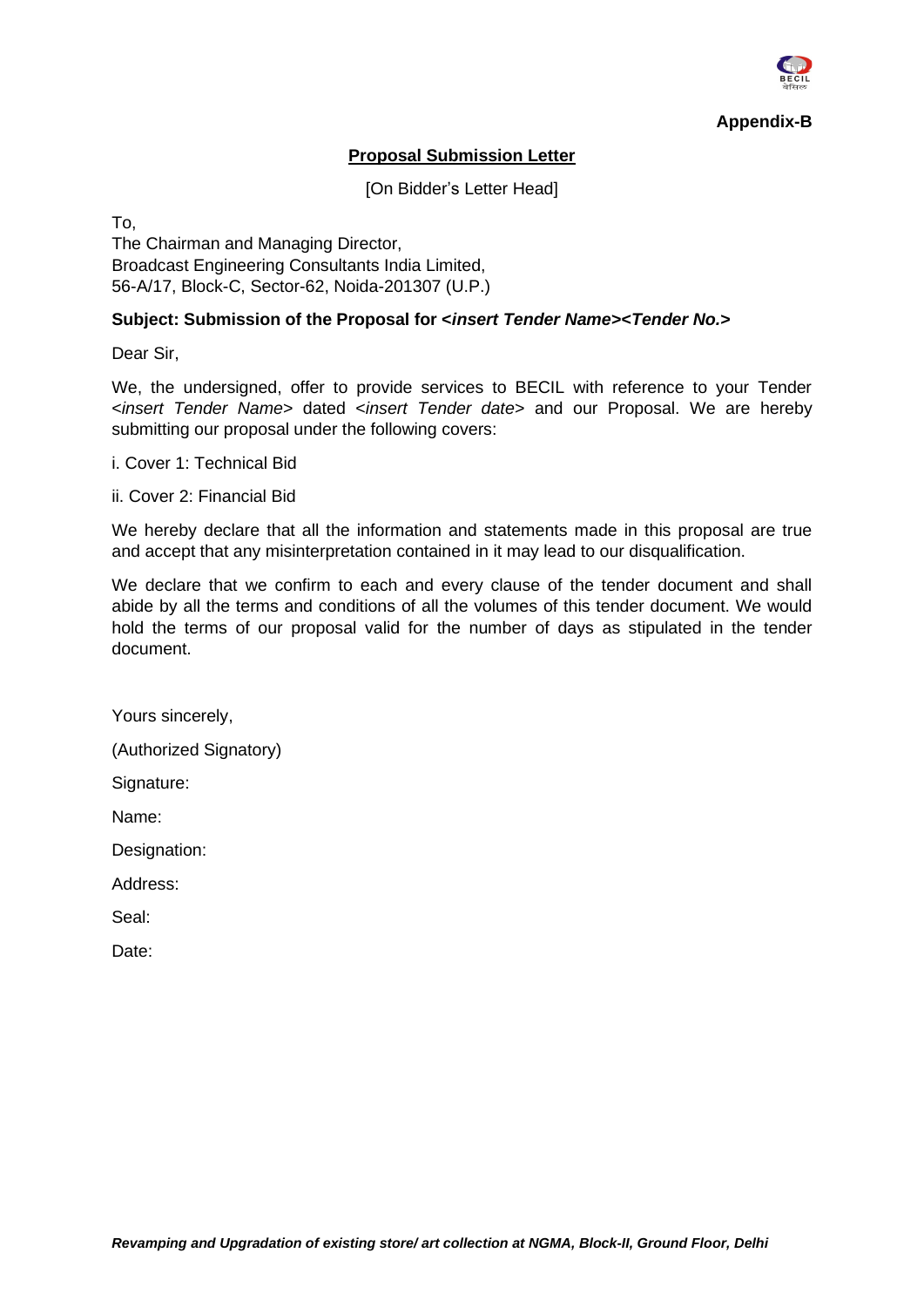

**Appendix-B**

### **Proposal Submission Letter**

[On Bidder's Letter Head]

To,

The Chairman and Managing Director, Broadcast Engineering Consultants India Limited, 56-A/17, Block-C, Sector-62, Noida-201307 (U.P.)

#### **Subject: Submission of the Proposal for <***insert Tender Name***><***Tender No.***>**

Dear Sir,

We, the undersigned, offer to provide services to BECIL with reference to your Tender <*insert Tender Name*> dated <*insert Tender date*> and our Proposal. We are hereby submitting our proposal under the following covers:

i. Cover 1: Technical Bid

ii. Cover 2: Financial Bid

We hereby declare that all the information and statements made in this proposal are true and accept that any misinterpretation contained in it may lead to our disqualification.

We declare that we confirm to each and every clause of the tender document and shall abide by all the terms and conditions of all the volumes of this tender document. We would hold the terms of our proposal valid for the number of days as stipulated in the tender document.

Yours sincerely,

(Authorized Signatory)

Signature:

Name:

Designation:

Address:

Seal: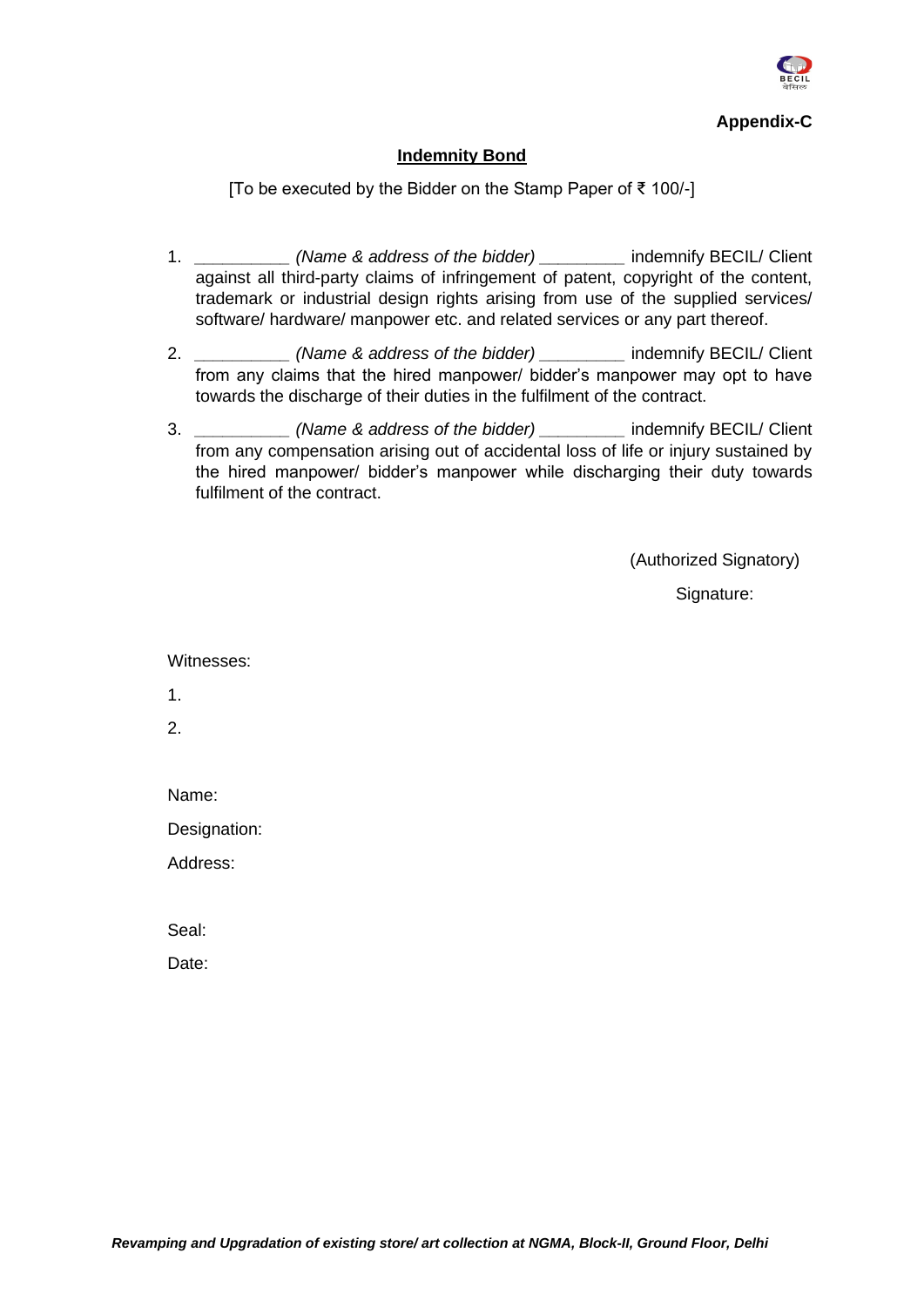

**Appendix-C**

#### **Indemnity Bond**

[To be executed by the Bidder on the Stamp Paper of ₹ 100/-]

- 1. *\_\_\_\_\_\_\_\_\_\_ (Name & address of the bidder) \_\_\_\_\_\_\_\_\_* indemnify BECIL/ Client against all third-party claims of infringement of patent, copyright of the content, trademark or industrial design rights arising from use of the supplied services/ software/ hardware/ manpower etc. and related services or any part thereof.
- 2. *\_\_\_\_\_\_\_\_\_\_ (Name & address of the bidder) \_\_\_\_\_\_\_\_\_* indemnify BECIL/ Client from any claims that the hired manpower/ bidder's manpower may opt to have towards the discharge of their duties in the fulfilment of the contract.
- 3. *\_\_\_\_\_\_\_\_\_\_ (Name & address of the bidder) \_\_\_\_\_\_\_\_\_* indemnify BECIL/ Client from any compensation arising out of accidental loss of life or injury sustained by the hired manpower/ bidder's manpower while discharging their duty towards fulfilment of the contract.

(Authorized Signatory)

Signature:

Witnesses:

1.

2.

Name:

Designation:

Address:

Seal: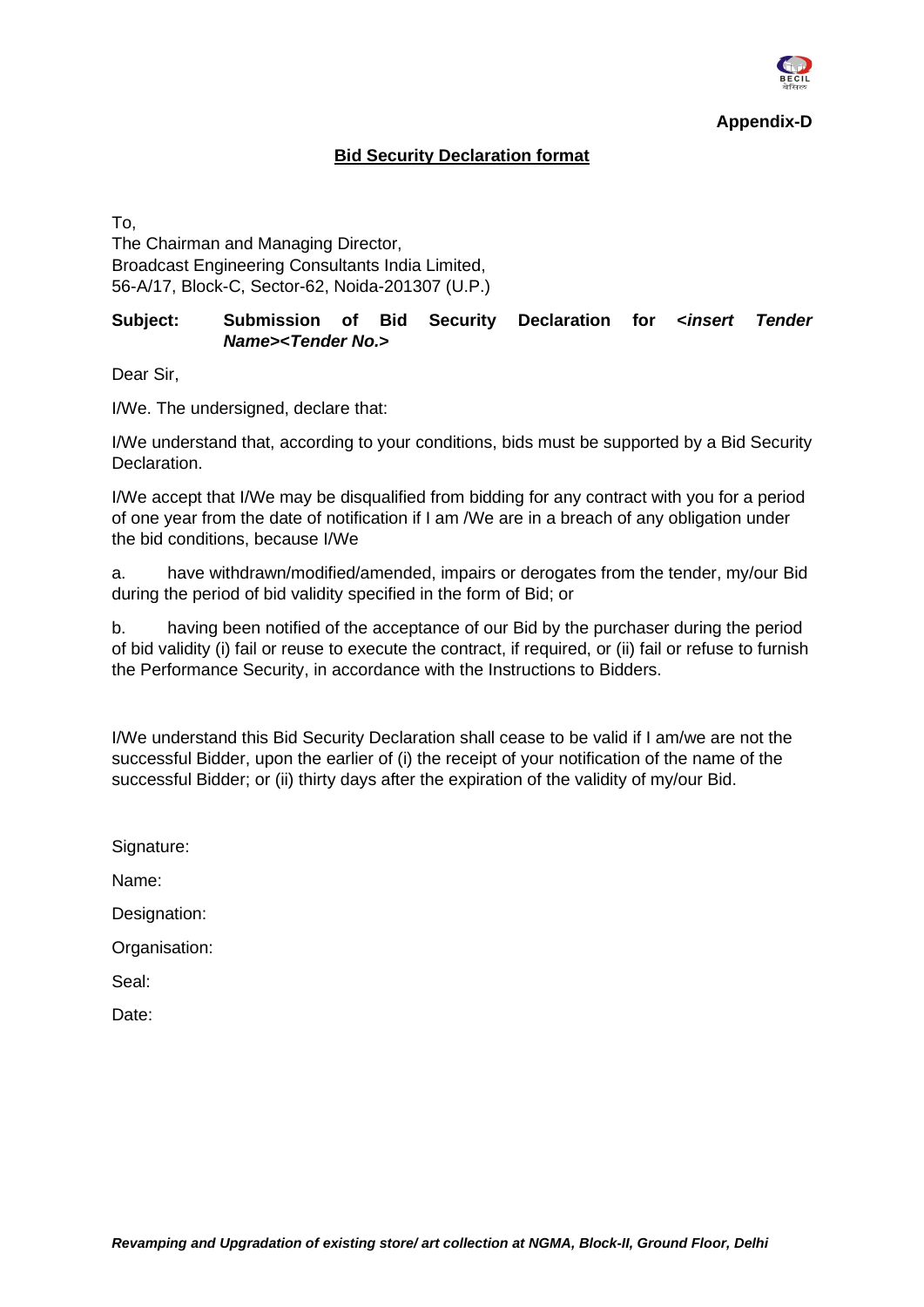

#### **Bid Security Declaration format**

To,

The Chairman and Managing Director, Broadcast Engineering Consultants India Limited, 56-A/17, Block-C, Sector-62, Noida-201307 (U.P.)

#### **Subject: Submission of Bid Security Declaration for <***insert Tender Name***><***Tender No.***>**

Dear Sir,

I/We. The undersigned, declare that:

I/We understand that, according to your conditions, bids must be supported by a Bid Security Declaration.

I/We accept that I/We may be disqualified from bidding for any contract with you for a period of one year from the date of notification if I am /We are in a breach of any obligation under the bid conditions, because I/We

a. have withdrawn/modified/amended, impairs or derogates from the tender, my/our Bid during the period of bid validity specified in the form of Bid; or

b. having been notified of the acceptance of our Bid by the purchaser during the period of bid validity (i) fail or reuse to execute the contract, if required, or (ii) fail or refuse to furnish the Performance Security, in accordance with the Instructions to Bidders.

I/We understand this Bid Security Declaration shall cease to be valid if I am/we are not the successful Bidder, upon the earlier of (i) the receipt of your notification of the name of the successful Bidder; or (ii) thirty days after the expiration of the validity of my/our Bid.

Signature:

Name:

Designation:

Organisation:

Seal: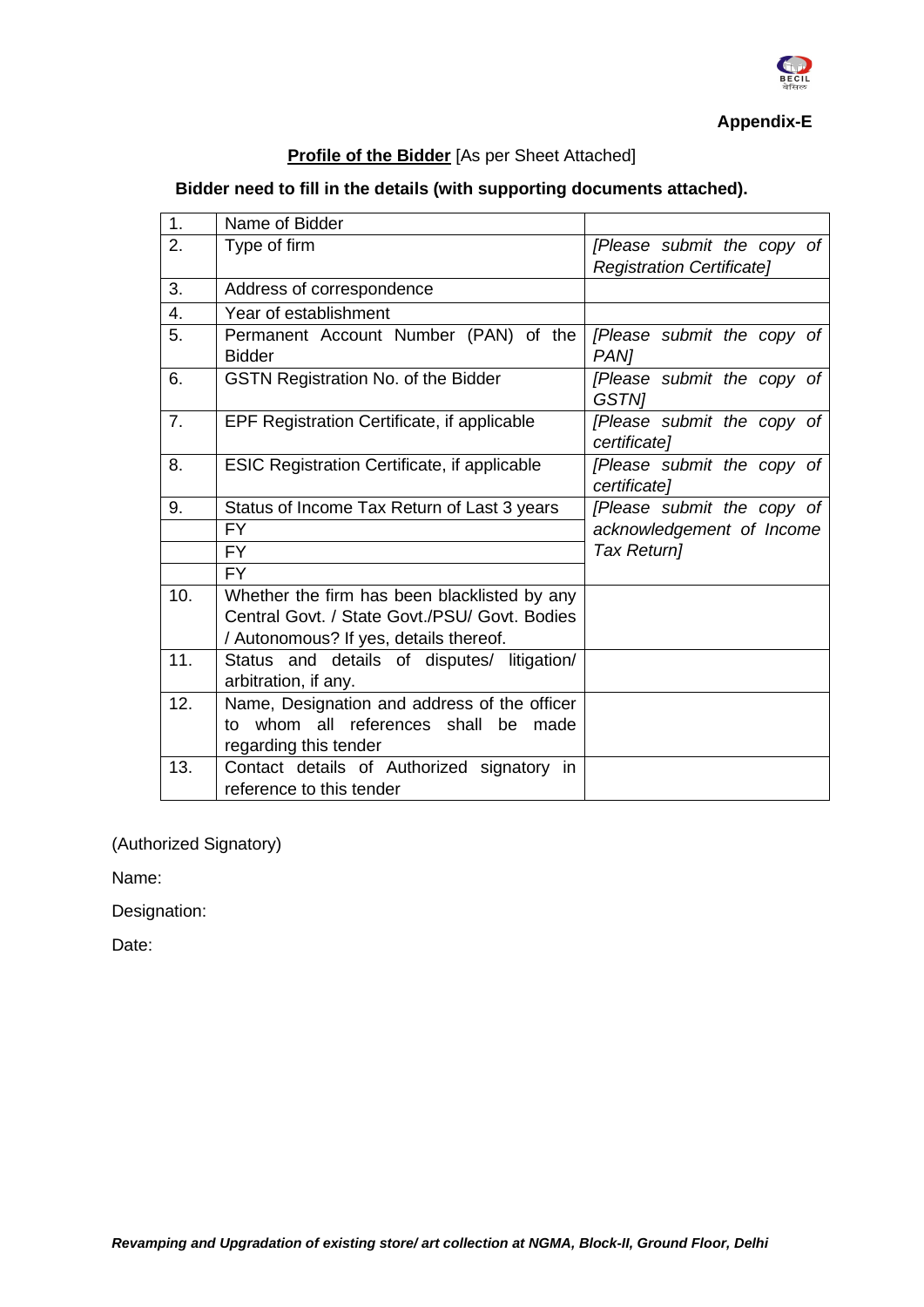

**Appendix-E**

## **Profile of the Bidder** [As per Sheet Attached]

## **Bidder need to fill in the details (with supporting documents attached).**

| 1.             | Name of Bidder                                      |                                            |
|----------------|-----------------------------------------------------|--------------------------------------------|
| 2.             | Type of firm                                        | [Please submit the copy of                 |
|                |                                                     | <b>Registration Certificate]</b>           |
| 3.             | Address of correspondence                           |                                            |
| 4.             | Year of establishment                               |                                            |
| 5.             | Permanent Account Number (PAN) of the<br>Bidder     | [Please submit the copy of<br>PAN]         |
| 6.             | <b>GSTN Registration No. of the Bidder</b>          | [Please submit the copy of<br><b>GSTNI</b> |
| 7 <sub>1</sub> | EPF Registration Certificate, if applicable         | [Please submit the copy of<br>certificate] |
| 8.             | <b>ESIC Registration Certificate, if applicable</b> | [Please submit the copy of<br>certificate] |
| 9.             | Status of Income Tax Return of Last 3 years         | [Please submit the copy of                 |
|                | <b>FY</b>                                           | acknowledgement of Income                  |
|                | FY.                                                 | Tax Return]                                |
|                | FY.                                                 |                                            |
| 10.            | Whether the firm has been blacklisted by any        |                                            |
|                | Central Govt. / State Govt./PSU/ Govt. Bodies       |                                            |
|                | / Autonomous? If yes, details thereof.              |                                            |
| 11.            | Status and details of disputes/ litigation/         |                                            |
|                | arbitration, if any.                                |                                            |
| 12.            | Name, Designation and address of the officer        |                                            |
|                | to whom all references shall be<br>made             |                                            |
|                | regarding this tender                               |                                            |
| 13.            | Contact details of Authorized signatory in          |                                            |
|                | reference to this tender                            |                                            |

(Authorized Signatory)

Name:

Designation: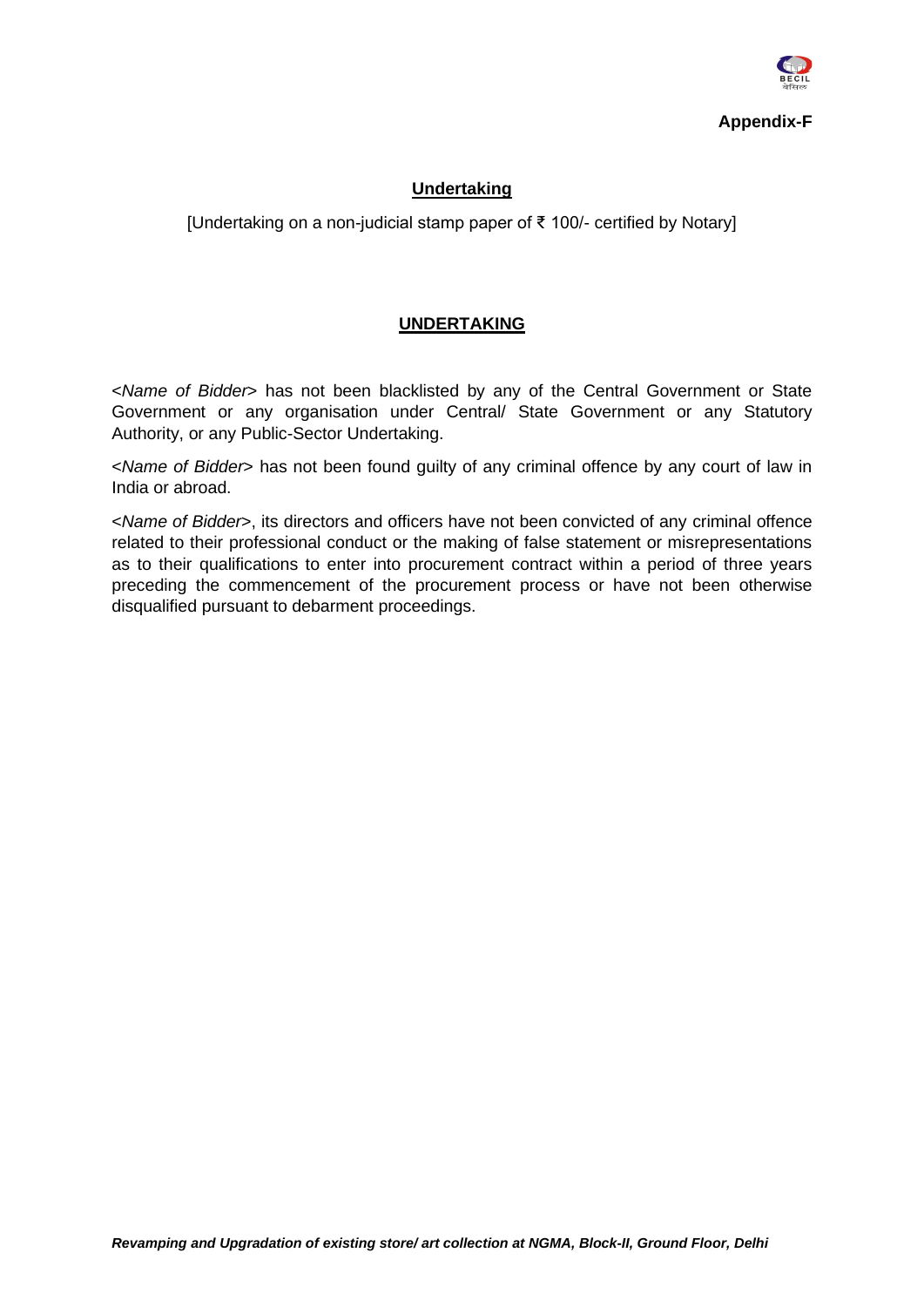

#### **Undertaking**

[Undertaking on a non-judicial stamp paper of ₹ 100/- certified by Notary]

#### **UNDERTAKING**

<*Name of Bidder*> has not been blacklisted by any of the Central Government or State Government or any organisation under Central/ State Government or any Statutory Authority, or any Public-Sector Undertaking.

<*Name of Bidder*> has not been found guilty of any criminal offence by any court of law in India or abroad.

<*Name of Bidder*>, its directors and officers have not been convicted of any criminal offence related to their professional conduct or the making of false statement or misrepresentations as to their qualifications to enter into procurement contract within a period of three years preceding the commencement of the procurement process or have not been otherwise disqualified pursuant to debarment proceedings.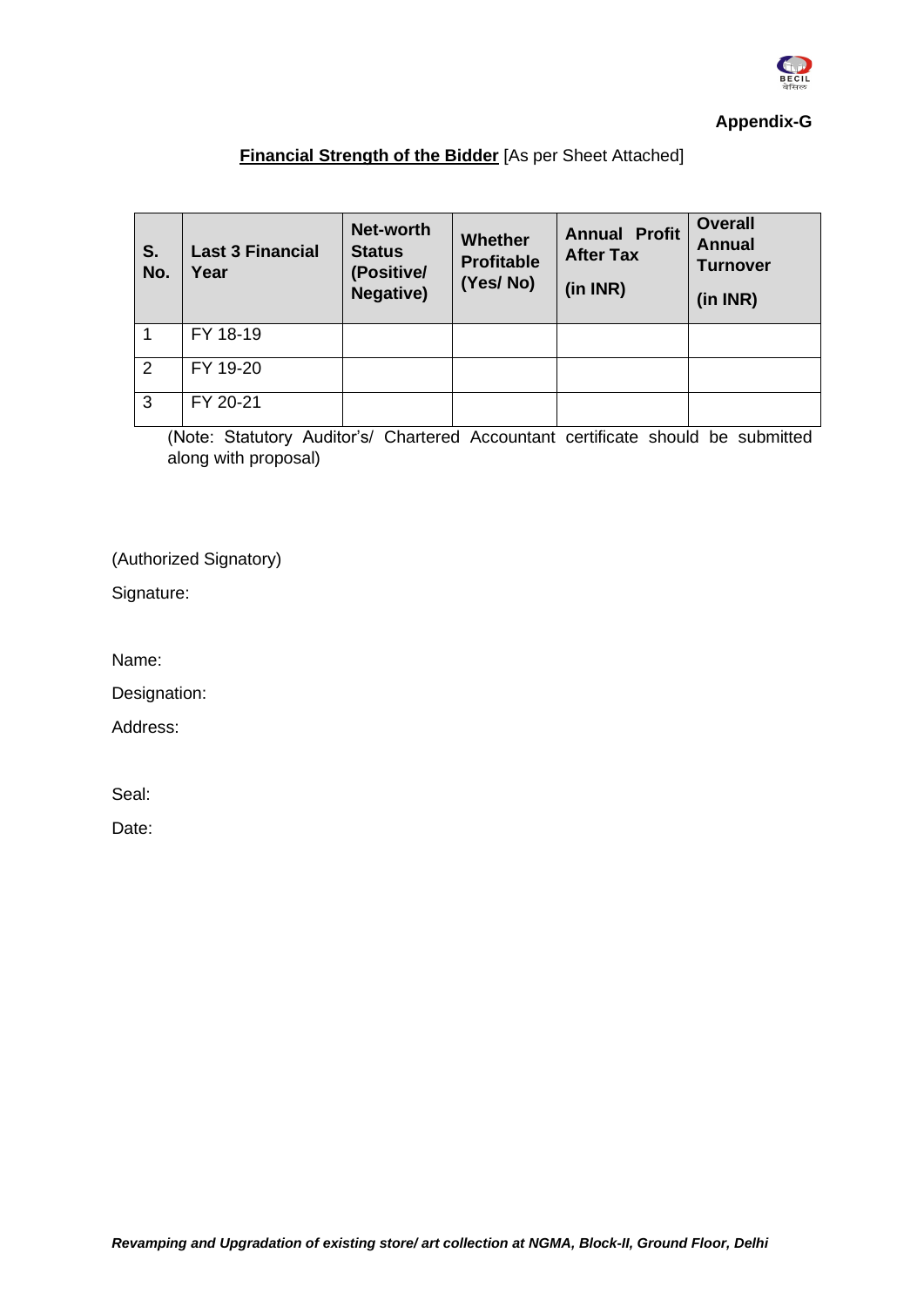

#### **Appendix-G**

## **Financial Strength of the Bidder** [As per Sheet Attached]

| S.<br>No. | <b>Last 3 Financial</b><br>Year | Net-worth<br><b>Status</b><br>(Positive/<br><b>Negative)</b> | Whether<br><b>Profitable</b><br>(Yes/No) | <b>Annual Profit</b><br><b>After Tax</b><br>(in INR) | <b>Overall</b><br><b>Annual</b><br><b>Turnover</b><br>(in INR) |
|-----------|---------------------------------|--------------------------------------------------------------|------------------------------------------|------------------------------------------------------|----------------------------------------------------------------|
|           | FY 18-19                        |                                                              |                                          |                                                      |                                                                |
| 2         | FY 19-20                        |                                                              |                                          |                                                      |                                                                |
| 3         | FY 20-21                        |                                                              |                                          |                                                      |                                                                |

(Note: Statutory Auditor's/ Chartered Accountant certificate should be submitted along with proposal)

(Authorized Signatory)

Signature:

Name:

Designation:

Address:

Seal: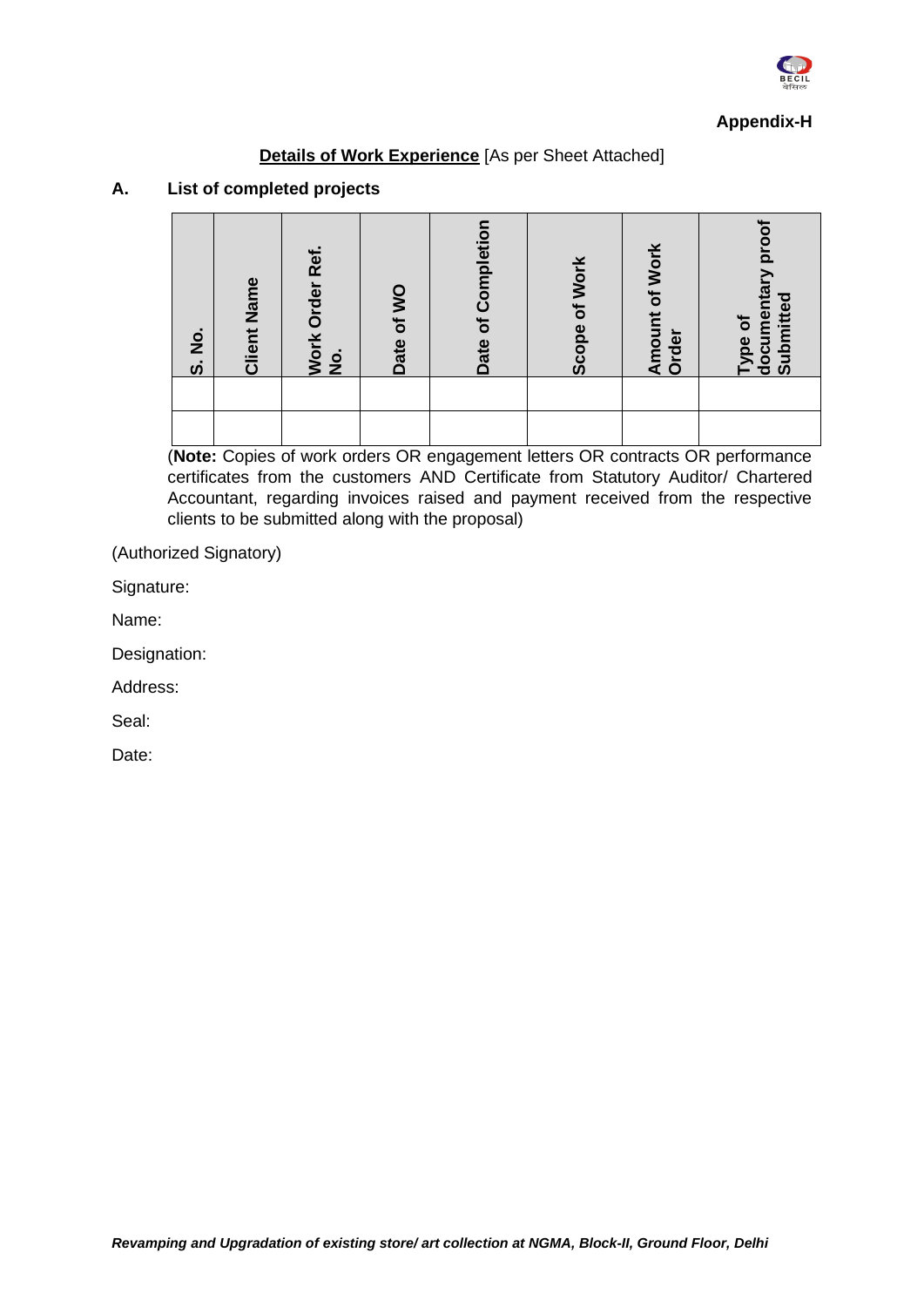

#### **Appendix-H**

#### **Details of Work Experience** [As per Sheet Attached]

#### **A. List of completed projects**

| $\frac{1}{2}$<br>$\dot{\bm v}$ | <b>Client Name</b> | Ref.<br>Work Order<br>$\frac{1}{2}$ | Date of WO | Date of Completio | Scope of Work | <b>Amount of Work</b><br>Order | documentary pro<br>Submitted<br>Type of |
|--------------------------------|--------------------|-------------------------------------|------------|-------------------|---------------|--------------------------------|-----------------------------------------|
|                                |                    |                                     |            |                   |               |                                |                                         |

(**Note:** Copies of work orders OR engagement letters OR contracts OR performance certificates from the customers AND Certificate from Statutory Auditor/ Chartered Accountant, regarding invoices raised and payment received from the respective clients to be submitted along with the proposal)

(Authorized Signatory)

Signature:

Name:

Designation:

Address:

Seal: